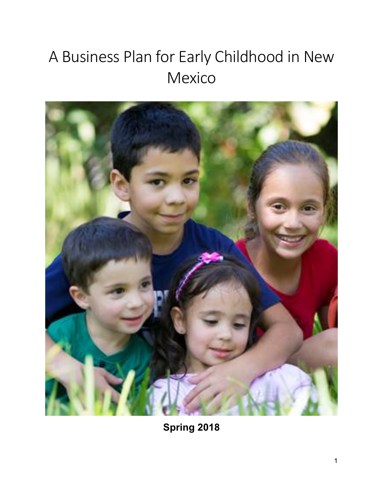# A Business Plan for Early Childhood in New Mexico



**Spring 2018**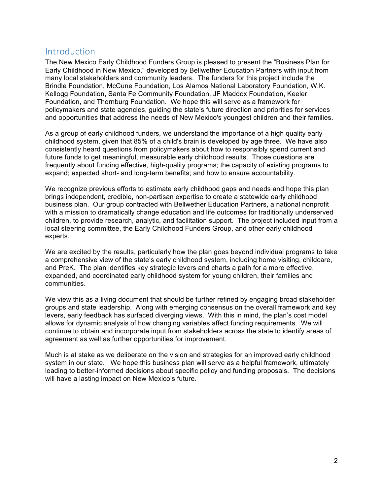### Introduction

The New Mexico Early Childhood Funders Group is pleased to present the "Business Plan for Early Childhood in New Mexico," developed by Bellwether Education Partners with input from many local stakeholders and community leaders. The funders for this project include the Brindle Foundation, McCune Foundation, Los Alamos National Laboratory Foundation, W.K. Kellogg Foundation, Santa Fe Community Foundation, JF Maddox Foundation, Keeler Foundation, and Thornburg Foundation. We hope this will serve as a framework for policymakers and state agencies, guiding the state's future direction and priorities for services and opportunities that address the needs of New Mexico's youngest children and their families.

As a group of early childhood funders, we understand the importance of a high quality early childhood system, given that 85% of a child's brain is developed by age three. We have also consistently heard questions from policymakers about how to responsibly spend current and future funds to get meaningful, measurable early childhood results. Those questions are frequently about funding effective, high-quality programs; the capacity of existing programs to expand; expected short- and long-term benefits; and how to ensure accountability.

We recognize previous efforts to estimate early childhood gaps and needs and hope this plan brings independent, credible, non-partisan expertise to create a statewide early childhood business plan. Our group contracted with Bellwether Education Partners, a national nonprofit with a mission to dramatically change education and life outcomes for traditionally underserved children, to provide research, analytic, and facilitation support. The project included input from a local steering committee, the Early Childhood Funders Group, and other early childhood experts.

We are excited by the results, particularly how the plan goes beyond individual programs to take a comprehensive view of the state's early childhood system, including home visiting, childcare, and PreK. The plan identifies key strategic levers and charts a path for a more effective, expanded, and coordinated early childhood system for young children, their families and communities.

We view this as a living document that should be further refined by engaging broad stakeholder groups and state leadership. Along with emerging consensus on the overall framework and key levers, early feedback has surfaced diverging views. With this in mind, the plan's cost model allows for dynamic analysis of how changing variables affect funding requirements. We will continue to obtain and incorporate input from stakeholders across the state to identify areas of agreement as well as further opportunities for improvement.

Much is at stake as we deliberate on the vision and strategies for an improved early childhood system in our state. We hope this business plan will serve as a helpful framework, ultimately leading to better-informed decisions about specific policy and funding proposals. The decisions will have a lasting impact on New Mexico's future.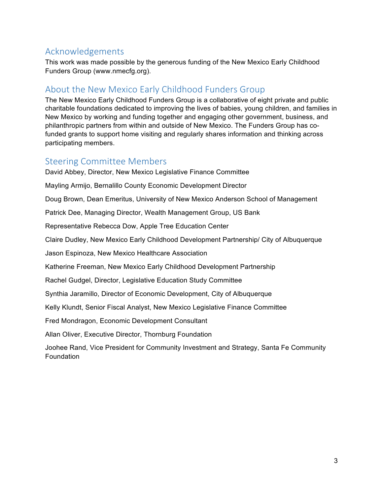### Acknowledgements

This work was made possible by the generous funding of the New Mexico Early Childhood Funders Group (www.nmecfg.org).

### About the New Mexico Early Childhood Funders Group

The New Mexico Early Childhood Funders Group is a collaborative of eight private and public charitable foundations dedicated to improving the lives of babies, young children, and families in New Mexico by working and funding together and engaging other government, business, and philanthropic partners from within and outside of New Mexico. The Funders Group has cofunded grants to support home visiting and regularly shares information and thinking across participating members.

### Steering Committee Members

David Abbey, Director, New Mexico Legislative Finance Committee

Mayling Armijo, Bernalillo County Economic Development Director

Doug Brown, Dean Emeritus, University of New Mexico Anderson School of Management

Patrick Dee, Managing Director, Wealth Management Group, US Bank

Representative Rebecca Dow, Apple Tree Education Center

Claire Dudley, New Mexico Early Childhood Development Partnership/ City of Albuquerque

Jason Espinoza, New Mexico Healthcare Association

Katherine Freeman, New Mexico Early Childhood Development Partnership

Rachel Gudgel, Director, Legislative Education Study Committee

Synthia Jaramillo, Director of Economic Development, City of Albuquerque

Kelly Klundt, Senior Fiscal Analyst, New Mexico Legislative Finance Committee

Fred Mondragon, Economic Development Consultant

Allan Oliver, Executive Director, Thornburg Foundation

Joohee Rand, Vice President for Community Investment and Strategy, Santa Fe Community Foundation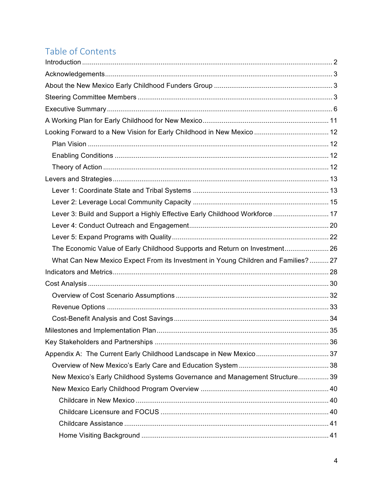## Table of Contents

| Looking Forward to a New Vision for Early Childhood in New Mexico  12             |  |
|-----------------------------------------------------------------------------------|--|
|                                                                                   |  |
|                                                                                   |  |
|                                                                                   |  |
|                                                                                   |  |
|                                                                                   |  |
|                                                                                   |  |
| Lever 3: Build and Support a Highly Effective Early Childhood Workforce  17       |  |
|                                                                                   |  |
|                                                                                   |  |
| The Economic Value of Early Childhood Supports and Return on Investment 26        |  |
| What Can New Mexico Expect From its Investment in Young Children and Families? 27 |  |
|                                                                                   |  |
|                                                                                   |  |
|                                                                                   |  |
|                                                                                   |  |
|                                                                                   |  |
|                                                                                   |  |
|                                                                                   |  |
|                                                                                   |  |
|                                                                                   |  |
| New Mexico's Early Childhood Systems Governance and Management Structure 39       |  |
|                                                                                   |  |
|                                                                                   |  |
|                                                                                   |  |
|                                                                                   |  |
|                                                                                   |  |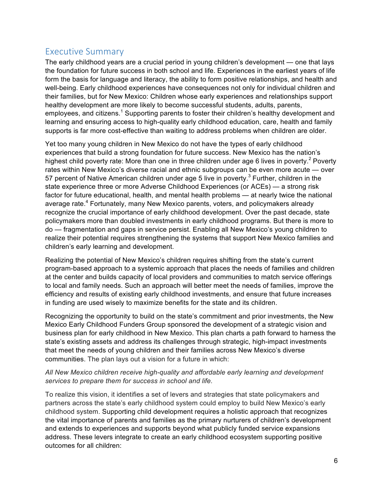### Executive Summary

The early childhood years are a crucial period in young children's development — one that lays the foundation for future success in both school and life. Experiences in the earliest years of life form the basis for language and literacy, the ability to form positive relationships, and health and well-being. Early childhood experiences have consequences not only for individual children and their families, but for New Mexico: Children whose early experiences and relationships support healthy development are more likely to become successful students, adults, parents, employees, and citizens.<sup>1</sup> Supporting parents to foster their children's healthy development and learning and ensuring access to high-quality early childhood education, care, health and family supports is far more cost-effective than waiting to address problems when children are older.

Yet too many young children in New Mexico do not have the types of early childhood experiences that build a strong foundation for future success. New Mexico has the nation's highest child poverty rate: More than one in three children under age 6 lives in poverty.<sup>2</sup> Poverty rates within New Mexico's diverse racial and ethnic subgroups can be even more acute — over 57 percent of Native American children under age 5 live in poverty.<sup>3</sup> Further, children in the state experience three or more Adverse Childhood Experiences (or ACEs) — a strong risk factor for future educational, health, and mental health problems — at nearly twice the national average rate.<sup>4</sup> Fortunately, many New Mexico parents, voters, and policymakers already recognize the crucial importance of early childhood development. Over the past decade, state policymakers more than doubled investments in early childhood programs. But there is more to do — fragmentation and gaps in service persist. Enabling all New Mexico's young children to realize their potential requires strengthening the systems that support New Mexico families and children's early learning and development.

Realizing the potential of New Mexico's children requires shifting from the state's current program-based approach to a systemic approach that places the needs of families and children at the center and builds capacity of local providers and communities to match service offerings to local and family needs. Such an approach will better meet the needs of families, improve the efficiency and results of existing early childhood investments, and ensure that future increases in funding are used wisely to maximize benefits for the state and its children.

Recognizing the opportunity to build on the state's commitment and prior investments, the New Mexico Early Childhood Funders Group sponsored the development of a strategic vision and business plan for early childhood in New Mexico. This plan charts a path forward to harness the state's existing assets and address its challenges through strategic, high-impact investments that meet the needs of young children and their families across New Mexico's diverse communities. The plan lays out a vision for a future in which:

#### *All New Mexico children receive high-quality and affordable early learning and development services to prepare them for success in school and life.*

To realize this vision, it identifies a set of levers and strategies that state policymakers and partners across the state's early childhood system could employ to build New Mexico's early childhood system. Supporting child development requires a holistic approach that recognizes the vital importance of parents and families as the primary nurturers of children's development and extends to experiences and supports beyond what publicly funded service expansions address. These levers integrate to create an early childhood ecosystem supporting positive outcomes for all children: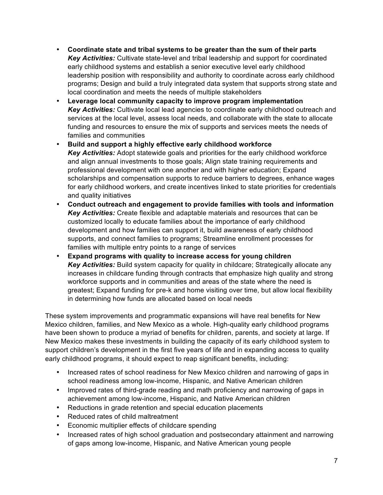- **Coordinate state and tribal systems to be greater than the sum of their parts** *Key Activities:* Cultivate state-level and tribal leadership and support for coordinated early childhood systems and establish a senior executive level early childhood leadership position with responsibility and authority to coordinate across early childhood programs; Design and build a truly integrated data system that supports strong state and local coordination and meets the needs of multiple stakeholders
- **Leverage local community capacity to improve program implementation**  *Key Activities:* Cultivate local lead agencies to coordinate early childhood outreach and services at the local level, assess local needs, and collaborate with the state to allocate funding and resources to ensure the mix of supports and services meets the needs of families and communities
- **Build and support a highly effective early childhood workforce**  *Key Activities:* Adopt statewide goals and priorities for the early childhood workforce and align annual investments to those goals; Align state training requirements and professional development with one another and with higher education; Expand scholarships and compensation supports to reduce barriers to degrees, enhance wages for early childhood workers, and create incentives linked to state priorities for credentials and quality initiatives
- **Conduct outreach and engagement to provide families with tools and information** *Key Activities:* Create flexible and adaptable materials and resources that can be customized locally to educate families about the importance of early childhood development and how families can support it, build awareness of early childhood supports, and connect families to programs; Streamline enrollment processes for families with multiple entry points to a range of services
- **Expand programs with quality to increase access for young children** *Key Activities:* Build system capacity for quality in childcare; Strategically allocate any increases in childcare funding through contracts that emphasize high quality and strong workforce supports and in communities and areas of the state where the need is greatest; Expand funding for pre-k and home visiting over time, but allow local flexibility in determining how funds are allocated based on local needs

These system improvements and programmatic expansions will have real benefits for New Mexico children, families, and New Mexico as a whole. High-quality early childhood programs have been shown to produce a myriad of benefits for children, parents, and society at large. If New Mexico makes these investments in building the capacity of its early childhood system to support children's development in the first five years of life and in expanding access to quality early childhood programs, it should expect to reap significant benefits, including:

- Increased rates of school readiness for New Mexico children and narrowing of gaps in school readiness among low-income, Hispanic, and Native American children
- Improved rates of third-grade reading and math proficiency and narrowing of gaps in achievement among low-income, Hispanic, and Native American children
- Reductions in grade retention and special education placements
- Reduced rates of child maltreatment
- Economic multiplier effects of childcare spending
- Increased rates of high school graduation and postsecondary attainment and narrowing of gaps among low-income, Hispanic, and Native American young people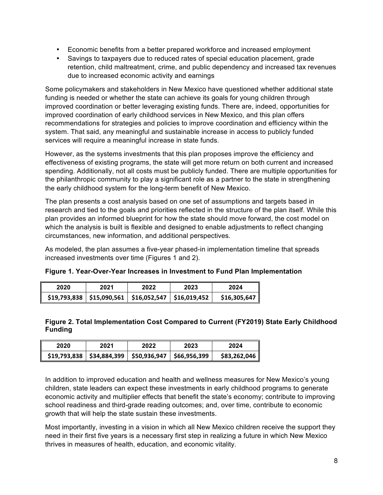- Economic benefits from a better prepared workforce and increased employment
- Savings to taxpayers due to reduced rates of special education placement, grade retention, child maltreatment, crime, and public dependency and increased tax revenues due to increased economic activity and earnings

Some policymakers and stakeholders in New Mexico have questioned whether additional state funding is needed or whether the state can achieve its goals for young children through improved coordination or better leveraging existing funds. There are, indeed, opportunities for improved coordination of early childhood services in New Mexico, and this plan offers recommendations for strategies and policies to improve coordination and efficiency within the system. That said, any meaningful and sustainable increase in access to publicly funded services will require a meaningful increase in state funds.

However, as the systems investments that this plan proposes improve the efficiency and effectiveness of existing programs, the state will get more return on both current and increased spending. Additionally, not all costs must be publicly funded. There are multiple opportunities for the philanthropic community to play a significant role as a partner to the state in strengthening the early childhood system for the long-term benefit of New Mexico.

The plan presents a cost analysis based on one set of assumptions and targets based in research and tied to the goals and priorities reflected in the structure of the plan itself. While this plan provides an informed blueprint for how the state should move forward, the cost model on which the analysis is built is flexible and designed to enable adjustments to reflect changing circumstances, new information, and additional perspectives.

As modeled, the plan assumes a five-year phased-in implementation timeline that spreads increased investments over time (Figures 1 and 2).

| Figure 1. Year-Over-Year Increases in Investment to Fund Plan Implementation |  |
|------------------------------------------------------------------------------|--|
|------------------------------------------------------------------------------|--|

| 2020 | 2021 | 2022                                                          | 2023 | 2024         |
|------|------|---------------------------------------------------------------|------|--------------|
|      |      | $$19,793,838$   $$15,090,561$   $$16,052,547$   $$16,019,452$ |      | \$16,305,647 |

#### **Figure 2. Total Implementation Cost Compared to Current (FY2019) State Early Childhood Funding**

| 2020 | 2021 | 2022                                                          | 2023 | 2024         |
|------|------|---------------------------------------------------------------|------|--------------|
|      |      | $$19,793,838$   $$34,884,399$   $$50,936,947$   $$66,956,399$ |      | \$83,262,046 |

In addition to improved education and health and wellness measures for New Mexico's young children, state leaders can expect these investments in early childhood programs to generate economic activity and multiplier effects that benefit the state's economy; contribute to improving school readiness and third-grade reading outcomes; and, over time, contribute to economic growth that will help the state sustain these investments.

Most importantly, investing in a vision in which all New Mexico children receive the support they need in their first five years is a necessary first step in realizing a future in which New Mexico thrives in measures of health, education, and economic vitality.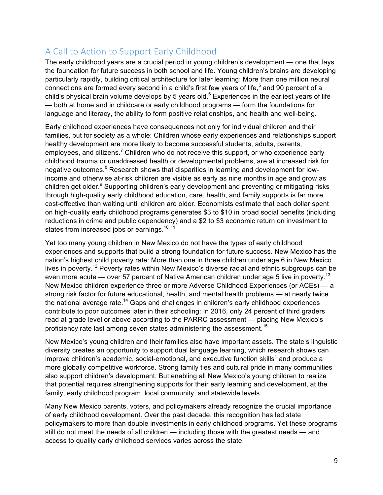### A Call to Action to Support Early Childhood

The early childhood years are a crucial period in young children's development — one that lays the foundation for future success in both school and life. Young children's brains are developing particularly rapidly, building critical architecture for later learning: More than one million neural connections are formed every second in a child's first few years of life,<sup>5</sup> and 90 percent of a child's physical brain volume develops by 5 years old. $6$  Experiences in the earliest years of life — both at home and in childcare or early childhood programs — form the foundations for language and literacy, the ability to form positive relationships, and health and well-being.

Early childhood experiences have consequences not only for individual children and their families, but for society as a whole: Children whose early experiences and relationships support healthy development are more likely to become successful students, adults, parents, employees, and citizens.<sup>7</sup> Children who do not receive this support, or who experience early childhood trauma or unaddressed health or developmental problems, are at increased risk for negative outcomes.<sup>8</sup> Research shows that disparities in learning and development for lowincome and otherwise at-risk children are visible as early as nine months in age and grow as children get older.<sup>9</sup> Supporting children's early development and preventing or mitigating risks through high-quality early childhood education, care, health, and family supports is far more cost-effective than waiting until children are older. Economists estimate that each dollar spent on high-quality early childhood programs generates \$3 to \$10 in broad social benefits (including reductions in crime and public dependency) and a \$2 to \$3 economic return on investment to states from increased jobs or earnings.<sup>10 11</sup>

Yet too many young children in New Mexico do not have the types of early childhood experiences and supports that build a strong foundation for future success. New Mexico has the nation's highest child poverty rate: More than one in three children under age 6 in New Mexico lives in poverty.<sup>12</sup> Poverty rates within New Mexico's diverse racial and ethnic subgroups can be even more acute — over 57 percent of Native American children under age 5 live in poverty.<sup>13</sup> New Mexico children experience three or more Adverse Childhood Experiences (or ACEs) — a strong risk factor for future educational, health, and mental health problems — at nearly twice the national average rate.<sup>14</sup> Gaps and challenges in children's early childhood experiences contribute to poor outcomes later in their schooling: In 2016, only 24 percent of third graders read at grade level or above according to the PARRC assessment — placing New Mexico's proficiency rate last among seven states administering the assessment.<sup>15</sup>

New Mexico's young children and their families also have important assets. The state's linguistic diversity creates an opportunity to support dual language learning, which research shows can improve children's academic, social-emotional, and executive function skills<sup>4</sup> and produce a more globally competitive workforce. Strong family ties and cultural pride in many communities also support children's development. But enabling all New Mexico's young children to realize that potential requires strengthening supports for their early learning and development, at the family, early childhood program, local community, and statewide levels.

Many New Mexico parents, voters, and policymakers already recognize the crucial importance of early childhood development. Over the past decade, this recognition has led state policymakers to more than double investments in early childhood programs. Yet these programs still do not meet the needs of all children — including those with the greatest needs — and access to quality early childhood services varies across the state.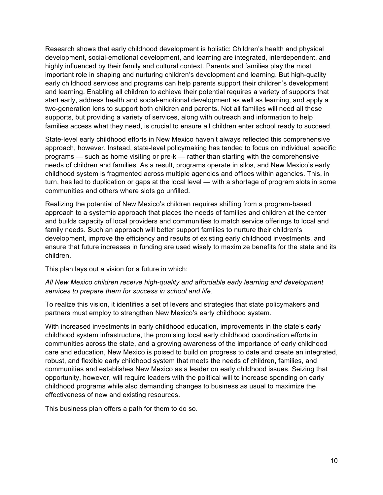Research shows that early childhood development is holistic: Children's health and physical development, social-emotional development, and learning are integrated, interdependent, and highly influenced by their family and cultural context. Parents and families play the most important role in shaping and nurturing children's development and learning. But high-quality early childhood services and programs can help parents support their children's development and learning. Enabling all children to achieve their potential requires a variety of supports that start early, address health and social-emotional development as well as learning, and apply a two-generation lens to support both children and parents. Not all families will need all these supports, but providing a variety of services, along with outreach and information to help families access what they need, is crucial to ensure all children enter school ready to succeed.

State-level early childhood efforts in New Mexico haven't always reflected this comprehensive approach, however. Instead, state-level policymaking has tended to focus on individual, specific programs — such as home visiting or pre-k — rather than starting with the comprehensive needs of children and families. As a result, programs operate in silos, and New Mexico's early childhood system is fragmented across multiple agencies and offices within agencies. This, in turn, has led to duplication or gaps at the local level — with a shortage of program slots in some communities and others where slots go unfilled.

Realizing the potential of New Mexico's children requires shifting from a program-based approach to a systemic approach that places the needs of families and children at the center and builds capacity of local providers and communities to match service offerings to local and family needs. Such an approach will better support families to nurture their children's development, improve the efficiency and results of existing early childhood investments, and ensure that future increases in funding are used wisely to maximize benefits for the state and its children.

This plan lays out a vision for a future in which:

#### *All New Mexico children receive high-quality and affordable early learning and development services to prepare them for success in school and life.*

To realize this vision, it identifies a set of levers and strategies that state policymakers and partners must employ to strengthen New Mexico's early childhood system.

With increased investments in early childhood education, improvements in the state's early childhood system infrastructure, the promising local early childhood coordination efforts in communities across the state, and a growing awareness of the importance of early childhood care and education, New Mexico is poised to build on progress to date and create an integrated, robust, and flexible early childhood system that meets the needs of children, families, and communities and establishes New Mexico as a leader on early childhood issues. Seizing that opportunity, however, will require leaders with the political will to increase spending on early childhood programs while also demanding changes to business as usual to maximize the effectiveness of new and existing resources.

This business plan offers a path for them to do so.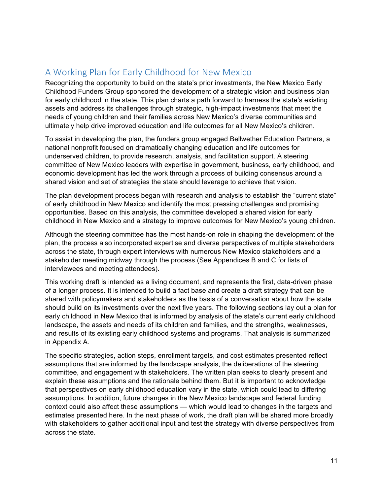### A Working Plan for Early Childhood for New Mexico

Recognizing the opportunity to build on the state's prior investments, the New Mexico Early Childhood Funders Group sponsored the development of a strategic vision and business plan for early childhood in the state. This plan charts a path forward to harness the state's existing assets and address its challenges through strategic, high-impact investments that meet the needs of young children and their families across New Mexico's diverse communities and ultimately help drive improved education and life outcomes for all New Mexico's children.

To assist in developing the plan, the funders group engaged Bellwether Education Partners, a national nonprofit focused on dramatically changing education and life outcomes for underserved children, to provide research, analysis, and facilitation support. A steering committee of New Mexico leaders with expertise in government, business, early childhood, and economic development has led the work through a process of building consensus around a shared vision and set of strategies the state should leverage to achieve that vision.

The plan development process began with research and analysis to establish the "current state" of early childhood in New Mexico and identify the most pressing challenges and promising opportunities. Based on this analysis, the committee developed a shared vision for early childhood in New Mexico and a strategy to improve outcomes for New Mexico's young children.

Although the steering committee has the most hands-on role in shaping the development of the plan, the process also incorporated expertise and diverse perspectives of multiple stakeholders across the state, through expert interviews with numerous New Mexico stakeholders and a stakeholder meeting midway through the process (See Appendices B and C for lists of interviewees and meeting attendees).

This working draft is intended as a living document, and represents the first, data-driven phase of a longer process. It is intended to build a fact base and create a draft strategy that can be shared with policymakers and stakeholders as the basis of a conversation about how the state should build on its investments over the next five years. The following sections lay out a plan for early childhood in New Mexico that is informed by analysis of the state's current early childhood landscape, the assets and needs of its children and families, and the strengths, weaknesses, and results of its existing early childhood systems and programs. That analysis is summarized in Appendix A.

The specific strategies, action steps, enrollment targets, and cost estimates presented reflect assumptions that are informed by the landscape analysis, the deliberations of the steering committee, and engagement with stakeholders. The written plan seeks to clearly present and explain these assumptions and the rationale behind them. But it is important to acknowledge that perspectives on early childhood education vary in the state, which could lead to differing assumptions. In addition, future changes in the New Mexico landscape and federal funding context could also affect these assumptions — which would lead to changes in the targets and estimates presented here. In the next phase of work, the draft plan will be shared more broadly with stakeholders to gather additional input and test the strategy with diverse perspectives from across the state.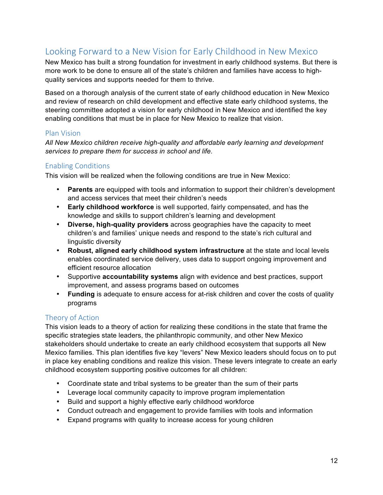### Looking Forward to a New Vision for Early Childhood in New Mexico

New Mexico has built a strong foundation for investment in early childhood systems. But there is more work to be done to ensure all of the state's children and families have access to highquality services and supports needed for them to thrive.

Based on a thorough analysis of the current state of early childhood education in New Mexico and review of research on child development and effective state early childhood systems, the steering committee adopted a vision for early childhood in New Mexico and identified the key enabling conditions that must be in place for New Mexico to realize that vision.

#### Plan Vision

*All New Mexico children receive high-quality and affordable early learning and development services to prepare them for success in school and life.*

#### Enabling Conditions

This vision will be realized when the following conditions are true in New Mexico:

- **Parents** are equipped with tools and information to support their children's development and access services that meet their children's needs
- **Early childhood workforce** is well supported, fairly compensated, and has the knowledge and skills to support children's learning and development
- **Diverse, high-quality providers** across geographies have the capacity to meet children's and families' unique needs and respond to the state's rich cultural and linguistic diversity
- **Robust, aligned early childhood system infrastructure** at the state and local levels enables coordinated service delivery, uses data to support ongoing improvement and efficient resource allocation
- Supportive **accountability systems** align with evidence and best practices, support improvement, and assess programs based on outcomes
- **Funding** is adequate to ensure access for at-risk children and cover the costs of quality programs

#### Theory of Action

This vision leads to a theory of action for realizing these conditions in the state that frame the specific strategies state leaders, the philanthropic community, and other New Mexico stakeholders should undertake to create an early childhood ecosystem that supports all New Mexico families. This plan identifies five key "levers" New Mexico leaders should focus on to put in place key enabling conditions and realize this vision. These levers integrate to create an early childhood ecosystem supporting positive outcomes for all children:

- Coordinate state and tribal systems to be greater than the sum of their parts
- Leverage local community capacity to improve program implementation
- Build and support a highly effective early childhood workforce
- Conduct outreach and engagement to provide families with tools and information
- Expand programs with quality to increase access for young children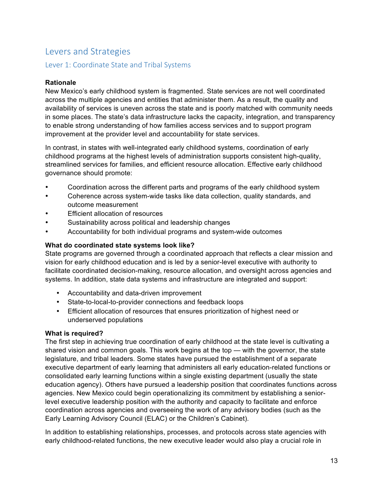### Levers and Strategies

#### Lever 1: Coordinate State and Tribal Systems

#### **Rationale**

New Mexico's early childhood system is fragmented. State services are not well coordinated across the multiple agencies and entities that administer them. As a result, the quality and availability of services is uneven across the state and is poorly matched with community needs in some places. The state's data infrastructure lacks the capacity, integration, and transparency to enable strong understanding of how families access services and to support program improvement at the provider level and accountability for state services.

In contrast, in states with well-integrated early childhood systems, coordination of early childhood programs at the highest levels of administration supports consistent high-quality, streamlined services for families, and efficient resource allocation. Effective early childhood governance should promote:

- Coordination across the different parts and programs of the early childhood system
- Coherence across system-wide tasks like data collection, quality standards, and outcome measurement
- **Efficient allocation of resources**
- Sustainability across political and leadership changes
- Accountability for both individual programs and system-wide outcomes

#### **What do coordinated state systems look like?**

State programs are governed through a coordinated approach that reflects a clear mission and vision for early childhood education and is led by a senior-level executive with authority to facilitate coordinated decision-making, resource allocation, and oversight across agencies and systems. In addition, state data systems and infrastructure are integrated and support:

- Accountability and data-driven improvement
- State-to-local-to-provider connections and feedback loops
- Efficient allocation of resources that ensures prioritization of highest need or underserved populations

#### **What is required?**

The first step in achieving true coordination of early childhood at the state level is cultivating a shared vision and common goals. This work begins at the top — with the governor, the state legislature, and tribal leaders. Some states have pursued the establishment of a separate executive department of early learning that administers all early education-related functions or consolidated early learning functions within a single existing department (usually the state education agency). Others have pursued a leadership position that coordinates functions across agencies. New Mexico could begin operationalizing its commitment by establishing a seniorlevel executive leadership position with the authority and capacity to facilitate and enforce coordination across agencies and overseeing the work of any advisory bodies (such as the Early Learning Advisory Council (ELAC) or the Children's Cabinet).

In addition to establishing relationships, processes, and protocols across state agencies with early childhood-related functions, the new executive leader would also play a crucial role in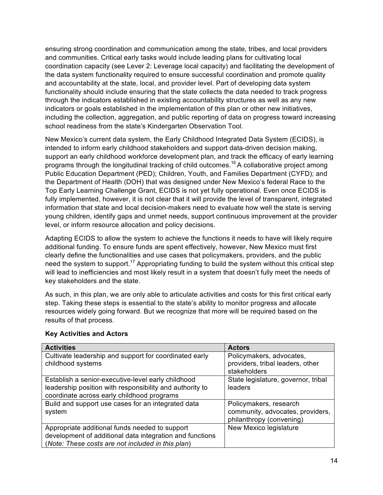ensuring strong coordination and communication among the state, tribes, and local providers and communities. Critical early tasks would include leading plans for cultivating local coordination capacity (see Lever 2: Leverage local capacity) and facilitating the development of the data system functionality required to ensure successful coordination and promote quality and accountability at the state, local, and provider level. Part of developing data system functionality should include ensuring that the state collects the data needed to track progress through the indicators established in existing accountability structures as well as any new indicators or goals established in the implementation of this plan or other new initiatives, including the collection, aggregation, and public reporting of data on progress toward increasing school readiness from the state's Kindergarten Observation Tool.

New Mexico's current data system, the Early Childhood Integrated Data System (ECIDS), is intended to inform early childhood stakeholders and support data-driven decision making, support an early childhood workforce development plan, and track the efficacy of early learning programs through the longitudinal tracking of child outcomes.<sup>16</sup> A collaborative project among Public Education Department (PED); Children, Youth, and Families Department (CYFD); and the Department of Health (DOH) that was designed under New Mexico's federal Race to the Top Early Learning Challenge Grant, ECIDS is not yet fully operational. Even once ECIDS is fully implemented, however, it is not clear that it will provide the level of transparent, integrated information that state and local decision-makers need to evaluate how well the state is serving young children, identify gaps and unmet needs, support continuous improvement at the provider level, or inform resource allocation and policy decisions.

Adapting ECIDS to allow the system to achieve the functions it needs to have will likely require additional funding. To ensure funds are spent effectively, however, New Mexico must first clearly define the functionalities and use cases that policymakers, providers, and the public need the system to support.<sup>17</sup> Appropriating funding to build the system without this critical step will lead to inefficiencies and most likely result in a system that doesn't fully meet the needs of key stakeholders and the state.

As such, in this plan, we are only able to articulate activities and costs for this first critical early step. Taking these steps is essential to the state's ability to monitor progress and allocate resources widely going forward. But we recognize that more will be required based on the results of that process.

| <b>Activities</b>                                                                                                                                               | <b>Actors</b>                                                                          |
|-----------------------------------------------------------------------------------------------------------------------------------------------------------------|----------------------------------------------------------------------------------------|
| Cultivate leadership and support for coordinated early<br>childhood systems                                                                                     | Policymakers, advocates,<br>providers, tribal leaders, other<br>stakeholders           |
| Establish a senior-executive-level early childhood<br>leadership position with responsibility and authority to<br>coordinate across early childhood programs    | State legislature, governor, tribal<br>leaders                                         |
| Build and support use cases for an integrated data<br>system                                                                                                    | Policymakers, research<br>community, advocates, providers,<br>philanthropy (convening) |
| Appropriate additional funds needed to support<br>development of additional data integration and functions<br>(Note: These costs are not included in this plan) | New Mexico legislature                                                                 |

#### **Key Activities and Actors**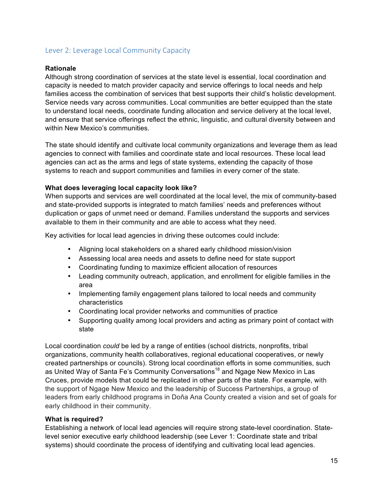#### Lever 2: Leverage Local Community Capacity

#### **Rationale**

Although strong coordination of services at the state level is essential, local coordination and capacity is needed to match provider capacity and service offerings to local needs and help families access the combination of services that best supports their child's holistic development. Service needs vary across communities. Local communities are better equipped than the state to understand local needs, coordinate funding allocation and service delivery at the local level, and ensure that service offerings reflect the ethnic, linguistic, and cultural diversity between and within New Mexico's communities.

The state should identify and cultivate local community organizations and leverage them as lead agencies to connect with families and coordinate state and local resources. These local lead agencies can act as the arms and legs of state systems, extending the capacity of those systems to reach and support communities and families in every corner of the state.

#### **What does leveraging local capacity look like?**

When supports and services are well coordinated at the local level, the mix of community-based and state-provided supports is integrated to match families' needs and preferences without duplication or gaps of unmet need or demand. Families understand the supports and services available to them in their community and are able to access what they need.

Key activities for local lead agencies in driving these outcomes could include:

- Aligning local stakeholders on a shared early childhood mission/vision
- Assessing local area needs and assets to define need for state support
- Coordinating funding to maximize efficient allocation of resources
- Leading community outreach, application, and enrollment for eligible families in the area
- Implementing family engagement plans tailored to local needs and community characteristics
- Coordinating local provider networks and communities of practice
- Supporting quality among local providers and acting as primary point of contact with state

Local coordination *could* be led by a range of entities (school districts, nonprofits, tribal organizations, community health collaboratives, regional educational cooperatives, or newly created partnerships or councils). Strong local coordination efforts in some communities, such as United Way of Santa Fe's Community Conversations<sup>18</sup> and Ngage New Mexico in Las Cruces, provide models that could be replicated in other parts of the state. For example, with the support of Ngage New Mexico and the leadership of Success Partnerships, a group of leaders from early childhood programs in Doňa Ana County created a vision and set of goals for early childhood in their community.

#### **What is required?**

Establishing a network of local lead agencies will require strong state-level coordination. Statelevel senior executive early childhood leadership (see Lever 1: Coordinate state and tribal systems) should coordinate the process of identifying and cultivating local lead agencies.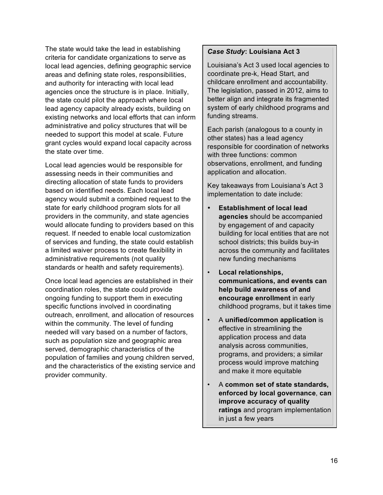The state would take the lead in establishing criteria for candidate organizations to serve as local lead agencies, defining geographic service areas and defining state roles, responsibilities, and authority for interacting with local lead agencies once the structure is in place. Initially, the state could pilot the approach where local lead agency capacity already exists, building on existing networks and local efforts that can inform administrative and policy structures that will be needed to support this model at scale. Future grant cycles would expand local capacity across the state over time.

Local lead agencies would be responsible for assessing needs in their communities and directing allocation of state funds to providers based on identified needs. Each local lead agency would submit a combined request to the state for early childhood program slots for all providers in the community, and state agencies would allocate funding to providers based on this request. If needed to enable local customization of services and funding, the state could establish a limited waiver process to create flexibility in administrative requirements (not quality standards or health and safety requirements).

Once local lead agencies are established in their coordination roles, the state could provide ongoing funding to support them in executing specific functions involved in coordinating outreach, enrollment, and allocation of resources within the community. The level of funding needed will vary based on a number of factors, such as population size and geographic area served, demographic characteristics of the population of families and young children served, and the characteristics of the existing service and provider community.

#### *Case Study***: Louisiana Act 3**

Louisiana's Act 3 used local agencies to coordinate pre-k, Head Start, and childcare enrollment and accountability. The legislation, passed in 2012, aims to better align and integrate its fragmented system of early childhood programs and funding streams.

Each parish (analogous to a county in other states) has a lead agency responsible for coordination of networks with three functions: common observations, enrollment, and funding application and allocation.

Key takeaways from Louisiana's Act 3 implementation to date include:

- **Establishment of local lead agencies** should be accompanied by engagement of and capacity building for local entities that are not school districts; this builds buy-in across the community and facilitates new funding mechanisms
- **Local relationships, communications, and events can help build awareness of and encourage enrollment** in early childhood programs, but it takes time
- A **unified/common application** is effective in streamlining the application process and data analysis across communities, programs, and providers; a similar process would improve matching and make it more equitable
- A **common set of state standards, enforced by local governance**, **can improve accuracy of quality ratings** and program implementation in just a few years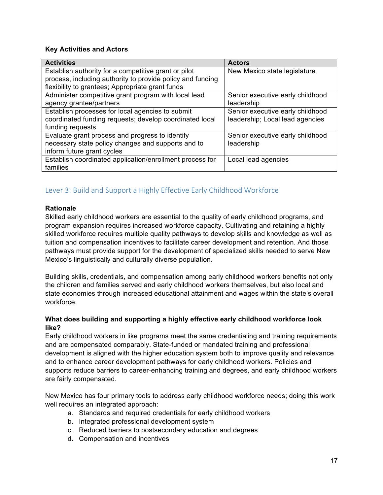#### **Key Activities and Actors**

| <b>Activities</b>                                          | <b>Actors</b>                    |
|------------------------------------------------------------|----------------------------------|
| Establish authority for a competitive grant or pilot       | New Mexico state legislature     |
| process, including authority to provide policy and funding |                                  |
| flexibility to grantees; Appropriate grant funds           |                                  |
| Administer competitive grant program with local lead       | Senior executive early childhood |
| agency grantee/partners                                    | leadership                       |
| Establish processes for local agencies to submit           | Senior executive early childhood |
| coordinated funding requests; develop coordinated local    | leadership; Local lead agencies  |
| funding requests                                           |                                  |
| Evaluate grant process and progress to identify            | Senior executive early childhood |
| necessary state policy changes and supports and to         | leadership                       |
| inform future grant cycles                                 |                                  |
| Establish coordinated application/enrollment process for   | Local lead agencies              |
| families                                                   |                                  |

### Lever 3: Build and Support a Highly Effective Early Childhood Workforce

#### **Rationale**

Skilled early childhood workers are essential to the quality of early childhood programs, and program expansion requires increased workforce capacity. Cultivating and retaining a highly skilled workforce requires multiple quality pathways to develop skills and knowledge as well as tuition and compensation incentives to facilitate career development and retention. And those pathways must provide support for the development of specialized skills needed to serve New Mexico's linguistically and culturally diverse population.

Building skills, credentials, and compensation among early childhood workers benefits not only the children and families served and early childhood workers themselves, but also local and state economies through increased educational attainment and wages within the state's overall workforce.

#### **What does building and supporting a highly effective early childhood workforce look like?**

Early childhood workers in like programs meet the same credentialing and training requirements and are compensated comparably. State-funded or mandated training and professional development is aligned with the higher education system both to improve quality and relevance and to enhance career development pathways for early childhood workers. Policies and supports reduce barriers to career-enhancing training and degrees, and early childhood workers are fairly compensated.

New Mexico has four primary tools to address early childhood workforce needs; doing this work well requires an integrated approach:

- a. Standards and required credentials for early childhood workers
- b. Integrated professional development system
- c. Reduced barriers to postsecondary education and degrees
- d. Compensation and incentives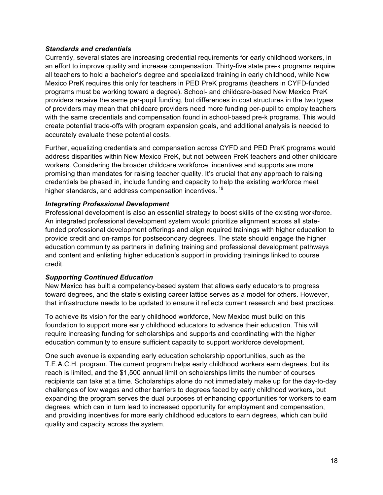#### *Standards and credentials*

Currently, several states are increasing credential requirements for early childhood workers, in an effort to improve quality and increase compensation. Thirty-five state pre-k programs require all teachers to hold a bachelor's degree and specialized training in early childhood, while New Mexico PreK requires this only for teachers in PED PreK programs (teachers in CYFD-funded programs must be working toward a degree). School- and childcare-based New Mexico PreK providers receive the same per-pupil funding, but differences in cost structures in the two types of providers may mean that childcare providers need more funding per-pupil to employ teachers with the same credentials and compensation found in school-based pre-k programs. This would create potential trade-offs with program expansion goals, and additional analysis is needed to accurately evaluate these potential costs.

Further, equalizing credentials and compensation across CYFD and PED PreK programs would address disparities within New Mexico PreK, but not between PreK teachers and other childcare workers. Considering the broader childcare workforce, incentives and supports are more promising than mandates for raising teacher quality. It's crucial that any approach to raising credentials be phased in, include funding and capacity to help the existing workforce meet higher standards, and address compensation incentives.<sup>19</sup>

#### *Integrating Professional Development*

Professional development is also an essential strategy to boost skills of the existing workforce. An integrated professional development system would prioritize alignment across all statefunded professional development offerings and align required trainings with higher education to provide credit and on-ramps for postsecondary degrees. The state should engage the higher education community as partners in defining training and professional development pathways and content and enlisting higher education's support in providing trainings linked to course credit.

#### *Supporting Continued Education*

New Mexico has built a competency-based system that allows early educators to progress toward degrees, and the state's existing career lattice serves as a model for others. However, that infrastructure needs to be updated to ensure it reflects current research and best practices.

To achieve its vision for the early childhood workforce, New Mexico must build on this foundation to support more early childhood educators to advance their education. This will require increasing funding for scholarships and supports and coordinating with the higher education community to ensure sufficient capacity to support workforce development.

One such avenue is expanding early education scholarship opportunities, such as the T.E.A.C.H. program. The current program helps early childhood workers earn degrees, but its reach is limited, and the \$1,500 annual limit on scholarships limits the number of courses recipients can take at a time. Scholarships alone do not immediately make up for the day-to-day challenges of low wages and other barriers to degrees faced by early childhood workers, but expanding the program serves the dual purposes of enhancing opportunities for workers to earn degrees, which can in turn lead to increased opportunity for employment and compensation, and providing incentives for more early childhood educators to earn degrees, which can build quality and capacity across the system.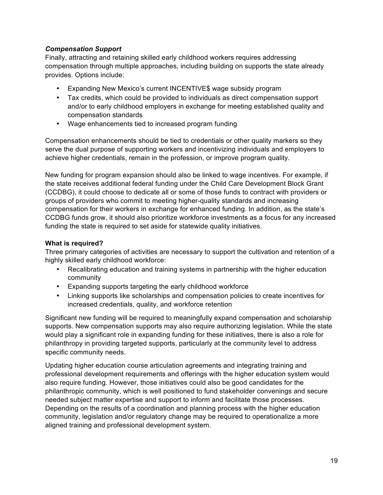#### *Compensation Support*

Finally, attracting and retaining skilled early childhood workers requires addressing compensation through multiple approaches, including building on supports the state already provides. Options include:

- Expanding New Mexico's current INCENTIVE\$ wage subsidy program
- Tax credits, which could be provided to individuals as direct compensation support and/or to early childhood employers in exchange for meeting established quality and compensation standards
- Wage enhancements tied to increased program funding

Compensation enhancements should be tied to credentials or other quality markers so they serve the dual purpose of supporting workers and incentivizing individuals and employers to achieve higher credentials, remain in the profession, or improve program quality.

New funding for program expansion should also be linked to wage incentives. For example, if the state receives additional federal funding under the Child Care Development Block Grant (CCDBG), it could choose to dedicate all or some of those funds to contract with providers or groups of providers who commit to meeting higher-quality standards and increasing compensation for their workers in exchange for enhanced funding. In addition, as the state's CCDBG funds grow, it should also prioritize workforce investments as a focus for any increased funding the state is required to set aside for statewide quality initiatives.

#### **What is required?**

Three primary categories of activities are necessary to support the cultivation and retention of a highly skilled early childhood workforce:

- Recalibrating education and training systems in partnership with the higher education community
- Expanding supports targeting the early childhood workforce
- Linking supports like scholarships and compensation policies to create incentives for increased credentials, quality, and workforce retention

Significant new funding will be required to meaningfully expand compensation and scholarship supports. New compensation supports may also require authorizing legislation. While the state would play a significant role in expanding funding for these initiatives, there is also a role for philanthropy in providing targeted supports, particularly at the community level to address specific community needs.

Updating higher education course articulation agreements and integrating training and professional development requirements and offerings with the higher education system would also require funding. However, those initiatives could also be good candidates for the philanthropic community, which is well positioned to fund stakeholder convenings and secure needed subject matter expertise and support to inform and facilitate those processes. Depending on the results of a coordination and planning process with the higher education community, legislation and/or regulatory change may be required to operationalize a more aligned training and professional development system.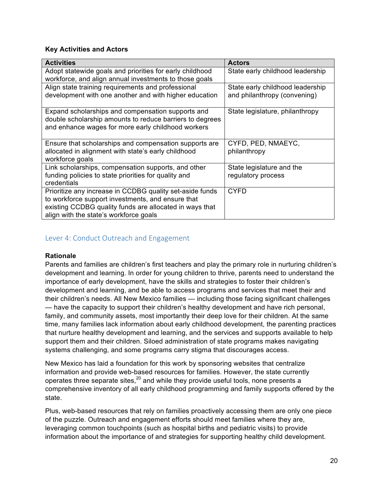#### **Key Activities and Actors**

| <b>Activities</b>                                                                                                                                                                                                  | <b>Actors</b>                                                    |
|--------------------------------------------------------------------------------------------------------------------------------------------------------------------------------------------------------------------|------------------------------------------------------------------|
| Adopt statewide goals and priorities for early childhood                                                                                                                                                           | State early childhood leadership                                 |
| workforce, and align annual investments to those goals                                                                                                                                                             |                                                                  |
| Align state training requirements and professional<br>development with one another and with higher education                                                                                                       | State early childhood leadership<br>and philanthropy (convening) |
| Expand scholarships and compensation supports and<br>double scholarship amounts to reduce barriers to degrees<br>and enhance wages for more early childhood workers                                                | State legislature, philanthropy                                  |
| Ensure that scholarships and compensation supports are<br>allocated in alignment with state's early childhood<br>workforce goals                                                                                   | CYFD, PED, NMAEYC,<br>philanthropy                               |
| Link scholarships, compensation supports, and other<br>funding policies to state priorities for quality and<br>credentials                                                                                         | State legislature and the<br>regulatory process                  |
| Prioritize any increase in CCDBG quality set-aside funds<br>to workforce support investments, and ensure that<br>existing CCDBG quality funds are allocated in ways that<br>align with the state's workforce goals | <b>CYFD</b>                                                      |

#### Lever 4: Conduct Outreach and Engagement

#### **Rationale**

Parents and families are children's first teachers and play the primary role in nurturing children's development and learning. In order for young children to thrive, parents need to understand the importance of early development, have the skills and strategies to foster their children's development and learning, and be able to access programs and services that meet their and their children's needs. All New Mexico families — including those facing significant challenges — have the capacity to support their children's healthy development and have rich personal, family, and community assets, most importantly their deep love for their children. At the same time, many families lack information about early childhood development, the parenting practices that nurture healthy development and learning, and the services and supports available to help support them and their children. Siloed administration of state programs makes navigating systems challenging, and some programs carry stigma that discourages access.

New Mexico has laid a foundation for this work by sponsoring websites that centralize information and provide web-based resources for families. However, the state currently operates three separate sites, $20$  and while they provide useful tools, none presents a comprehensive inventory of all early childhood programming and family supports offered by the state.

Plus, web-based resources that rely on families proactively accessing them are only one piece of the puzzle. Outreach and engagement efforts should meet families where they are, leveraging common touchpoints (such as hospital births and pediatric visits) to provide information about the importance of and strategies for supporting healthy child development.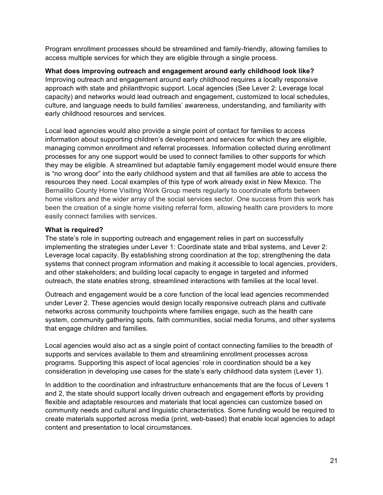Program enrollment processes should be streamlined and family-friendly, allowing families to access multiple services for which they are eligible through a single process.

**What does improving outreach and engagement around early childhood look like?** Improving outreach and engagement around early childhood requires a locally responsive approach with state and philanthropic support. Local agencies (See Lever 2: Leverage local capacity) and networks would lead outreach and engagement, customized to local schedules, culture, and language needs to build families' awareness, understanding, and familiarity with early childhood resources and services.

Local lead agencies would also provide a single point of contact for families to access information about supporting children's development and services for which they are eligible, managing common enrollment and referral processes. Information collected during enrollment processes for any one support would be used to connect families to other supports for which they may be eligible. A streamlined but adaptable family engagement model would ensure there is "no wrong door" into the early childhood system and that all families are able to access the resources they need. Local examples of this type of work already exist in New Mexico. The Bernalillo County Home Visiting Work Group meets regularly to coordinate efforts between home visitors and the wider array of the social services sector. One success from this work has been the creation of a single home visiting referral form, allowing health care providers to more easily connect families with services.

#### **What is required?**

The state's role in supporting outreach and engagement relies in part on successfully implementing the strategies under Lever 1: Coordinate state and tribal systems, and Lever 2: Leverage local capacity. By establishing strong coordination at the top; strengthening the data systems that connect program information and making it accessible to local agencies, providers, and other stakeholders; and building local capacity to engage in targeted and informed outreach, the state enables strong, streamlined interactions with families at the local level.

Outreach and engagement would be a core function of the local lead agencies recommended under Lever 2. These agencies would design locally responsive outreach plans and cultivate networks across community touchpoints where families engage, such as the health care system, community gathering spots, faith communities, social media forums, and other systems that engage children and families.

Local agencies would also act as a single point of contact connecting families to the breadth of supports and services available to them and streamlining enrollment processes across programs. Supporting this aspect of local agencies' role in coordination should be a key consideration in developing use cases for the state's early childhood data system (Lever 1).

In addition to the coordination and infrastructure enhancements that are the focus of Levers 1 and 2, the state should support locally driven outreach and engagement efforts by providing flexible and adaptable resources and materials that local agencies can customize based on community needs and cultural and linguistic characteristics. Some funding would be required to create materials supported across media (print, web-based) that enable local agencies to adapt content and presentation to local circumstances.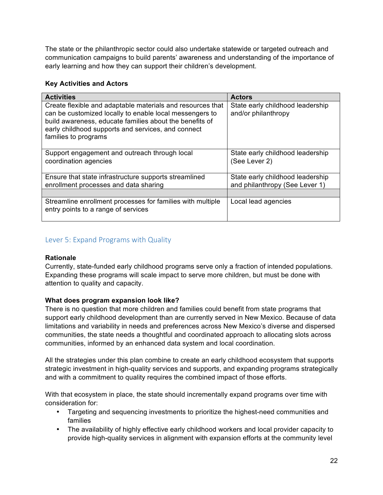The state or the philanthropic sector could also undertake statewide or targeted outreach and communication campaigns to build parents' awareness and understanding of the importance of early learning and how they can support their children's development.

#### **Key Activities and Actors**

| <b>Activities</b>                                                                                                                                                                                                                                              | <b>Actors</b>                                           |
|----------------------------------------------------------------------------------------------------------------------------------------------------------------------------------------------------------------------------------------------------------------|---------------------------------------------------------|
| Create flexible and adaptable materials and resources that<br>can be customized locally to enable local messengers to<br>build awareness, educate families about the benefits of<br>early childhood supports and services, and connect<br>families to programs | State early childhood leadership<br>and/or philanthropy |
| Support engagement and outreach through local                                                                                                                                                                                                                  | State early childhood leadership                        |
| coordination agencies                                                                                                                                                                                                                                          | (See Lever 2)                                           |
| Ensure that state infrastructure supports streamlined                                                                                                                                                                                                          | State early childhood leadership                        |
| enrollment processes and data sharing                                                                                                                                                                                                                          | and philanthropy (See Lever 1)                          |
|                                                                                                                                                                                                                                                                |                                                         |
| Streamline enrollment processes for families with multiple<br>entry points to a range of services                                                                                                                                                              | Local lead agencies                                     |

#### Lever 5: Expand Programs with Quality

#### **Rationale**

Currently, state-funded early childhood programs serve only a fraction of intended populations. Expanding these programs will scale impact to serve more children, but must be done with attention to quality and capacity.

#### **What does program expansion look like?**

There is no question that more children and families could benefit from state programs that support early childhood development than are currently served in New Mexico. Because of data limitations and variability in needs and preferences across New Mexico's diverse and dispersed communities, the state needs a thoughtful and coordinated approach to allocating slots across communities, informed by an enhanced data system and local coordination.

All the strategies under this plan combine to create an early childhood ecosystem that supports strategic investment in high-quality services and supports, and expanding programs strategically and with a commitment to quality requires the combined impact of those efforts.

With that ecosystem in place, the state should incrementally expand programs over time with consideration for:

- Targeting and sequencing investments to prioritize the highest-need communities and families
- The availability of highly effective early childhood workers and local provider capacity to provide high-quality services in alignment with expansion efforts at the community level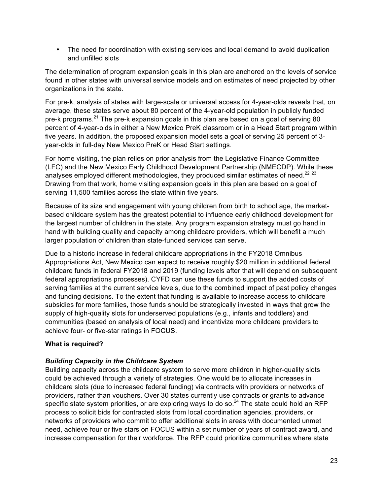• The need for coordination with existing services and local demand to avoid duplication and unfilled slots

The determination of program expansion goals in this plan are anchored on the levels of service found in other states with universal service models and on estimates of need projected by other organizations in the state.

For pre-k, analysis of states with large-scale or universal access for 4-year-olds reveals that, on average, these states serve about 80 percent of the 4-year-old population in publicly funded pre-k programs.<sup>21</sup> The pre-k expansion goals in this plan are based on a goal of serving 80 percent of 4-year-olds in either a New Mexico PreK classroom or in a Head Start program within five years. In addition, the proposed expansion model sets a goal of serving 25 percent of 3 year-olds in full-day New Mexico PreK or Head Start settings.

For home visiting, the plan relies on prior analysis from the Legislative Finance Committee (LFC) and the New Mexico Early Childhood Development Partnership (NMECDP). While these analyses employed different methodologies, they produced similar estimates of need.<sup>22 23</sup> Drawing from that work, home visiting expansion goals in this plan are based on a goal of serving 11,500 families across the state within five years.

Because of its size and engagement with young children from birth to school age, the marketbased childcare system has the greatest potential to influence early childhood development for the largest number of children in the state. Any program expansion strategy must go hand in hand with building quality and capacity among childcare providers, which will benefit a much larger population of children than state-funded services can serve.

Due to a historic increase in federal childcare appropriations in the FY2018 Omnibus Appropriations Act, New Mexico can expect to receive roughly \$20 million in additional federal childcare funds in federal FY2018 and 2019 (funding levels after that will depend on subsequent federal appropriations processes). CYFD can use these funds to support the added costs of serving families at the current service levels, due to the combined impact of past policy changes and funding decisions. To the extent that funding is available to increase access to childcare subsidies for more families, those funds should be strategically invested in ways that grow the supply of high-quality slots for underserved populations (e.g., infants and toddlers) and communities (based on analysis of local need) and incentivize more childcare providers to achieve four- or five-star ratings in FOCUS.

#### **What is required?**

#### *Building Capacity in the Childcare System*

Building capacity across the childcare system to serve more children in higher-quality slots could be achieved through a variety of strategies. One would be to allocate increases in childcare slots (due to increased federal funding) via contracts with providers or networks of providers, rather than vouchers. Over 30 states currently use contracts or grants to advance specific state system priorities, or are exploring ways to do so.<sup>24</sup> The state could hold an RFP process to solicit bids for contracted slots from local coordination agencies, providers, or networks of providers who commit to offer additional slots in areas with documented unmet need, achieve four or five stars on FOCUS within a set number of years of contract award, and increase compensation for their workforce. The RFP could prioritize communities where state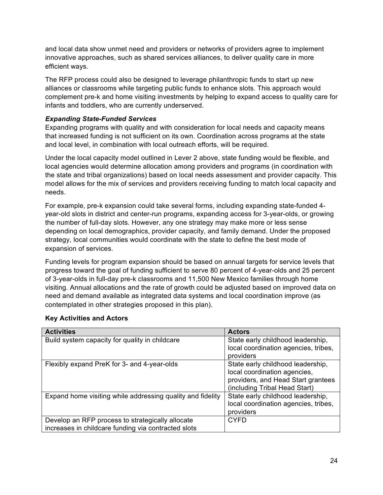and local data show unmet need and providers or networks of providers agree to implement innovative approaches, such as shared services alliances, to deliver quality care in more efficient ways.

The RFP process could also be designed to leverage philanthropic funds to start up new alliances or classrooms while targeting public funds to enhance slots. This approach would complement pre-k and home visiting investments by helping to expand access to quality care for infants and toddlers, who are currently underserved.

#### *Expanding State-Funded Services*

Expanding programs with quality and with consideration for local needs and capacity means that increased funding is not sufficient on its own. Coordination across programs at the state and local level, in combination with local outreach efforts, will be required.

Under the local capacity model outlined in Lever 2 above, state funding would be flexible, and local agencies would determine allocation among providers and programs (in coordination with the state and tribal organizations) based on local needs assessment and provider capacity. This model allows for the mix of services and providers receiving funding to match local capacity and needs.

For example, pre-k expansion could take several forms, including expanding state-funded 4 year-old slots in district and center-run programs, expanding access for 3-year-olds, or growing the number of full-day slots. However, any one strategy may make more or less sense depending on local demographics, provider capacity, and family demand. Under the proposed strategy, local communities would coordinate with the state to define the best mode of expansion of services.

Funding levels for program expansion should be based on annual targets for service levels that progress toward the goal of funding sufficient to serve 80 percent of 4-year-olds and 25 percent of 3-year-olds in full-day pre-k classrooms and 11,500 New Mexico families through home visiting. Annual allocations and the rate of growth could be adjusted based on improved data on need and demand available as integrated data systems and local coordination improve (as contemplated in other strategies proposed in this plan).

| <b>Activities</b>                                          | <b>Actors</b>                                                                                                                            |
|------------------------------------------------------------|------------------------------------------------------------------------------------------------------------------------------------------|
| Build system capacity for quality in childcare             | State early childhood leadership,<br>local coordination agencies, tribes,                                                                |
|                                                            | providers                                                                                                                                |
| Flexibly expand PreK for 3- and 4-year-olds                | State early childhood leadership,<br>local coordination agencies,<br>providers, and Head Start grantees<br>(including Tribal Head Start) |
| Expand home visiting while addressing quality and fidelity | State early childhood leadership,<br>local coordination agencies, tribes,<br>providers                                                   |
| Develop an RFP process to strategically allocate           | <b>CYFD</b>                                                                                                                              |
| increases in childcare funding via contracted slots        |                                                                                                                                          |

#### **Key Activities and Actors**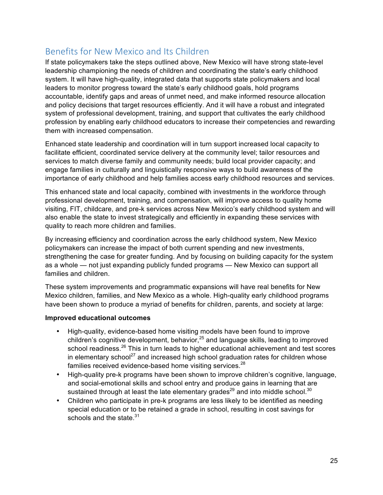### Benefits for New Mexico and Its Children

If state policymakers take the steps outlined above, New Mexico will have strong state-level leadership championing the needs of children and coordinating the state's early childhood system. It will have high-quality, integrated data that supports state policymakers and local leaders to monitor progress toward the state's early childhood goals, hold programs accountable, identify gaps and areas of unmet need, and make informed resource allocation and policy decisions that target resources efficiently. And it will have a robust and integrated system of professional development, training, and support that cultivates the early childhood profession by enabling early childhood educators to increase their competencies and rewarding them with increased compensation.

Enhanced state leadership and coordination will in turn support increased local capacity to facilitate efficient, coordinated service delivery at the community level; tailor resources and services to match diverse family and community needs; build local provider capacity; and engage families in culturally and linguistically responsive ways to build awareness of the importance of early childhood and help families access early childhood resources and services.

This enhanced state and local capacity, combined with investments in the workforce through professional development, training, and compensation, will improve access to quality home visiting, FIT, childcare, and pre-k services across New Mexico's early childhood system and will also enable the state to invest strategically and efficiently in expanding these services with quality to reach more children and families.

By increasing efficiency and coordination across the early childhood system, New Mexico policymakers can increase the impact of both current spending and new investments, strengthening the case for greater funding. And by focusing on building capacity for the system as a whole — not just expanding publicly funded programs — New Mexico can support all families and children.

These system improvements and programmatic expansions will have real benefits for New Mexico children, families, and New Mexico as a whole. High-quality early childhood programs have been shown to produce a myriad of benefits for children, parents, and society at large:

#### **Improved educational outcomes**

- High-quality, evidence-based home visiting models have been found to improve children's cognitive development, behavior, $25$  and language skills, leading to improved school readiness.<sup>26</sup> This in turn leads to higher educational achievement and test scores in elementary school<sup>27</sup> and increased high school graduation rates for children whose families received evidence-based home visiting services.<sup>28</sup>
- High-quality pre-k programs have been shown to improve children's cognitive, language, and social-emotional skills and school entry and produce gains in learning that are sustained through at least the late elementary grades<sup>29</sup> and into middle school.<sup>30</sup>
- Children who participate in pre-k programs are less likely to be identified as needing special education or to be retained a grade in school, resulting in cost savings for schools and the state. $31$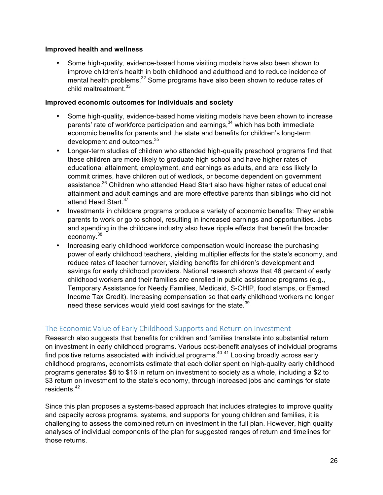#### **Improved health and wellness**

• Some high-quality, evidence-based home visiting models have also been shown to improve children's health in both childhood and adulthood and to reduce incidence of mental health problems.<sup>32</sup> Some programs have also been shown to reduce rates of child maltreatment.<sup>33</sup>

#### **Improved economic outcomes for individuals and society**

- Some high-quality, evidence-based home visiting models have been shown to increase parents' rate of workforce participation and earnings,<sup>34</sup> which has both immediate economic benefits for parents and the state and benefits for children's long-term development and outcomes.<sup>35</sup>
- Longer-term studies of children who attended high-quality preschool programs find that these children are more likely to graduate high school and have higher rates of educational attainment, employment, and earnings as adults, and are less likely to commit crimes, have children out of wedlock, or become dependent on government assistance.<sup>36</sup> Children who attended Head Start also have higher rates of educational attainment and adult earnings and are more effective parents than siblings who did not attend Head Start.<sup>37</sup>
- Investments in childcare programs produce a variety of economic benefits: They enable parents to work or go to school, resulting in increased earnings and opportunities. Jobs and spending in the childcare industry also have ripple effects that benefit the broader economy.<sup>38</sup>
- Increasing early childhood workforce compensation would increase the purchasing power of early childhood teachers, yielding multiplier effects for the state's economy, and reduce rates of teacher turnover, yielding benefits for children's development and savings for early childhood providers. National research shows that 46 percent of early childhood workers and their families are enrolled in public assistance programs (e.g., Temporary Assistance for Needy Families, Medicaid, S-CHIP, food stamps, or Earned Income Tax Credit). Increasing compensation so that early childhood workers no longer need these services would yield cost savings for the state. $39$

#### The Economic Value of Early Childhood Supports and Return on Investment

Research also suggests that benefits for children and families translate into substantial return on investment in early childhood programs. Various cost-benefit analyses of individual programs find positive returns associated with individual programs.<sup>40 41</sup> Looking broadly across early childhood programs, economists estimate that each dollar spent on high-quality early childhood programs generates \$8 to \$16 in return on investment to society as a whole, including a \$2 to \$3 return on investment to the state's economy, through increased jobs and earnings for state residents.<sup>42</sup>

Since this plan proposes a systems-based approach that includes strategies to improve quality and capacity across programs, systems, and supports for young children and families, it is challenging to assess the combined return on investment in the full plan. However, high quality analyses of individual components of the plan for suggested ranges of return and timelines for those returns.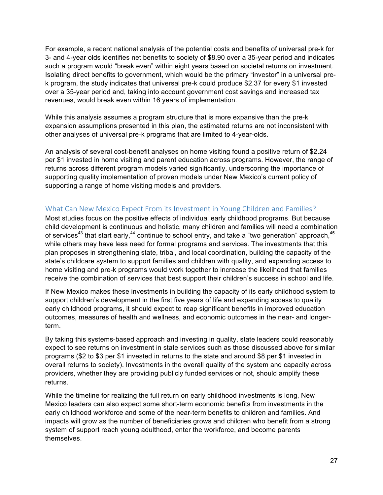For example, a recent national analysis of the potential costs and benefits of universal pre-k for 3- and 4-year olds identifies net benefits to society of \$8.90 over a 35-year period and indicates such a program would "break even" within eight years based on societal returns on investment. Isolating direct benefits to government, which would be the primary "investor" in a universal prek program, the study indicates that universal pre-k could produce \$2.37 for every \$1 invested over a 35-year period and, taking into account government cost savings and increased tax revenues, would break even within 16 years of implementation.

While this analysis assumes a program structure that is more expansive than the pre-k expansion assumptions presented in this plan, the estimated returns are not inconsistent with other analyses of universal pre-k programs that are limited to 4-year-olds.

An analysis of several cost-benefit analyses on home visiting found a positive return of \$2.24 per \$1 invested in home visiting and parent education across programs. However, the range of returns across different program models varied significantly, underscoring the importance of supporting quality implementation of proven models under New Mexico's current policy of supporting a range of home visiting models and providers.

#### What Can New Mexico Expect From its Investment in Young Children and Families?

Most studies focus on the positive effects of individual early childhood programs. But because child development is continuous and holistic, many children and families will need a combination of services<sup>43</sup> that start early,<sup>44</sup> continue to school entry, and take a "two generation" approach,  $45$ while others may have less need for formal programs and services. The investments that this plan proposes in strengthening state, tribal, and local coordination, building the capacity of the state's childcare system to support families and children with quality, and expanding access to home visiting and pre-k programs would work together to increase the likelihood that families receive the combination of services that best support their children's success in school and life.

If New Mexico makes these investments in building the capacity of its early childhood system to support children's development in the first five years of life and expanding access to quality early childhood programs, it should expect to reap significant benefits in improved education outcomes, measures of health and wellness, and economic outcomes in the near- and longerterm.

By taking this systems-based approach and investing in quality, state leaders could reasonably expect to see returns on investment in state services such as those discussed above for similar programs (\$2 to \$3 per \$1 invested in returns to the state and around \$8 per \$1 invested in overall returns to society). Investments in the overall quality of the system and capacity across providers, whether they are providing publicly funded services or not, should amplify these returns.

While the timeline for realizing the full return on early childhood investments is long, New Mexico leaders can also expect some short-term economic benefits from investments in the early childhood workforce and some of the near-term benefits to children and families. And impacts will grow as the number of beneficiaries grows and children who benefit from a strong system of support reach young adulthood, enter the workforce, and become parents themselves.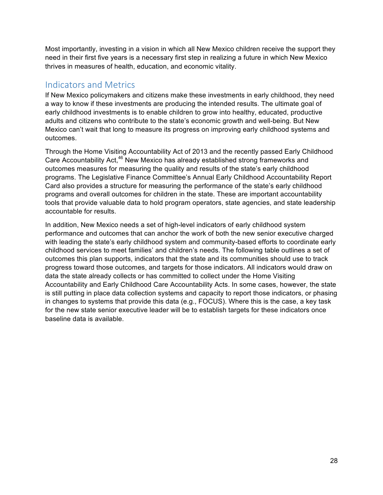Most importantly, investing in a vision in which all New Mexico children receive the support they need in their first five years is a necessary first step in realizing a future in which New Mexico thrives in measures of health, education, and economic vitality.

### Indicators and Metrics

If New Mexico policymakers and citizens make these investments in early childhood, they need a way to know if these investments are producing the intended results. The ultimate goal of early childhood investments is to enable children to grow into healthy, educated, productive adults and citizens who contribute to the state's economic growth and well-being. But New Mexico can't wait that long to measure its progress on improving early childhood systems and outcomes.

Through the Home Visiting Accountability Act of 2013 and the recently passed Early Childhood Care Accountability Act,<sup>46</sup> New Mexico has already established strong frameworks and outcomes measures for measuring the quality and results of the state's early childhood programs. The Legislative Finance Committee's Annual Early Childhood Accountability Report Card also provides a structure for measuring the performance of the state's early childhood programs and overall outcomes for children in the state. These are important accountability tools that provide valuable data to hold program operators, state agencies, and state leadership accountable for results.

In addition, New Mexico needs a set of high-level indicators of early childhood system performance and outcomes that can anchor the work of both the new senior executive charged with leading the state's early childhood system and community-based efforts to coordinate early childhood services to meet families' and children's needs. The following table outlines a set of outcomes this plan supports, indicators that the state and its communities should use to track progress toward those outcomes, and targets for those indicators. All indicators would draw on data the state already collects or has committed to collect under the Home Visiting Accountability and Early Childhood Care Accountability Acts. In some cases, however, the state is still putting in place data collection systems and capacity to report those indicators, or phasing in changes to systems that provide this data (e.g., FOCUS). Where this is the case, a key task for the new state senior executive leader will be to establish targets for these indicators once baseline data is available.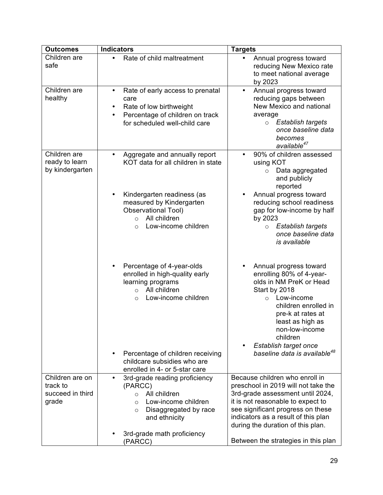| <b>Outcomes</b>                                   | <b>Indicators</b>                                                                                                                                                                                                                                  | <b>Targets</b>                                                                                                                                                                                                                                                                                  |
|---------------------------------------------------|----------------------------------------------------------------------------------------------------------------------------------------------------------------------------------------------------------------------------------------------------|-------------------------------------------------------------------------------------------------------------------------------------------------------------------------------------------------------------------------------------------------------------------------------------------------|
| Children are<br>safe                              | Rate of child maltreatment<br>$\bullet$                                                                                                                                                                                                            | Annual progress toward<br>$\bullet$<br>reducing New Mexico rate<br>to meet national average<br>by 2023                                                                                                                                                                                          |
| Children are<br>healthy                           | Rate of early access to prenatal<br>٠<br>care<br>Rate of low birthweight<br>٠<br>Percentage of children on track<br>$\bullet$<br>for scheduled well-child care                                                                                     | Annual progress toward<br>$\bullet$<br>reducing gaps between<br>New Mexico and national<br>average<br>Establish targets<br>$\circ$<br>once baseline data<br>becomes<br>available <sup>47</sup>                                                                                                  |
| Children are<br>ready to learn<br>by kindergarten | Aggregate and annually report<br>٠<br>KOT data for all children in state                                                                                                                                                                           | 90% of children assessed<br>$\bullet$<br>using KOT<br>Data aggregated<br>$\circ$<br>and publicly<br>reported                                                                                                                                                                                    |
|                                                   | Kindergarten readiness (as<br>measured by Kindergarten<br><b>Observational Tool)</b><br>All children<br>$\circ$<br>Low-income children<br>$\Omega$                                                                                                 | Annual progress toward<br>reducing school readiness<br>gap for low-income by half<br>by 2023<br>Establish targets<br>$\circ$<br>once baseline data<br>is available                                                                                                                              |
|                                                   | Percentage of 4-year-olds<br>enrolled in high-quality early<br>learning programs<br>All children<br>$\circ$<br>Low-income children<br>$\Omega$<br>Percentage of children receiving<br>childcare subsidies who are<br>enrolled in 4- or 5-star care | Annual progress toward<br>enrolling 80% of 4-year-<br>olds in NM PreK or Head<br>Start by 2018<br>o Low-income<br>children enrolled in<br>pre-k at rates at<br>least as high as<br>non-low-income<br>children<br>Establish target once<br>$\bullet$<br>baseline data is available <sup>48</sup> |
| Children are on                                   | 3rd-grade reading proficiency                                                                                                                                                                                                                      | Because children who enroll in                                                                                                                                                                                                                                                                  |
| track to<br>succeed in third                      | (PARCC)<br>All children<br>$\circ$                                                                                                                                                                                                                 | preschool in 2019 will not take the<br>3rd-grade assessment until 2024,                                                                                                                                                                                                                         |
| grade                                             | Low-income children<br>$\Omega$                                                                                                                                                                                                                    | it is not reasonable to expect to                                                                                                                                                                                                                                                               |
|                                                   | Disaggregated by race<br>$\circ$<br>and ethnicity                                                                                                                                                                                                  | see significant progress on these<br>indicators as a result of this plan<br>during the duration of this plan.                                                                                                                                                                                   |
|                                                   | 3rd-grade math proficiency<br>(PARCC)                                                                                                                                                                                                              | Between the strategies in this plan                                                                                                                                                                                                                                                             |
|                                                   |                                                                                                                                                                                                                                                    |                                                                                                                                                                                                                                                                                                 |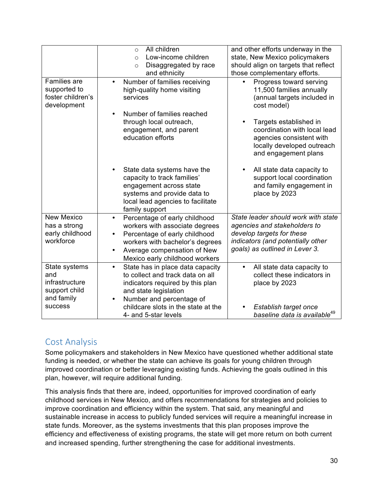|                                                                         | All children<br>$\circ$<br>Low-income children<br>$\Omega$<br>Disaggregated by race<br>$\circ$<br>and ethnicity                                                                                                   | and other efforts underway in the<br>state, New Mexico policymakers<br>should align on targets that reflect<br>those complementary efforts.                             |
|-------------------------------------------------------------------------|-------------------------------------------------------------------------------------------------------------------------------------------------------------------------------------------------------------------|-------------------------------------------------------------------------------------------------------------------------------------------------------------------------|
| <b>Families</b> are<br>supported to<br>foster children's<br>development | Number of families receiving<br>$\bullet$<br>high-quality home visiting<br>services<br>Number of families reached                                                                                                 | Progress toward serving<br>$\bullet$<br>11,500 families annually<br>(annual targets included in<br>cost model)                                                          |
|                                                                         | through local outreach,<br>engagement, and parent<br>education efforts                                                                                                                                            | Targets established in<br>$\bullet$<br>coordination with local lead<br>agencies consistent with<br>locally developed outreach<br>and engagement plans                   |
|                                                                         | State data systems have the<br>capacity to track families'<br>engagement across state<br>systems and provide data to<br>local lead agencies to facilitate<br>family support                                       | All state data capacity to<br>$\bullet$<br>support local coordination<br>and family engagement in<br>place by 2023                                                      |
| <b>New Mexico</b><br>has a strong<br>early childhood<br>workforce       | Percentage of early childhood<br>$\bullet$<br>workers with associate degrees<br>Percentage of early childhood<br>workers with bachelor's degrees<br>Average compensation of New<br>Mexico early childhood workers | State leader should work with state<br>agencies and stakeholders to<br>develop targets for these<br>indicators (and potentially other<br>goals) as outlined in Lever 3. |
| State systems<br>and<br>infrastructure<br>support child<br>and family   | State has in place data capacity<br>$\bullet$<br>to collect and track data on all<br>indicators required by this plan<br>and state legislation<br>Number and percentage of<br>٠                                   | All state data capacity to<br>$\bullet$<br>collect these indicators in<br>place by 2023                                                                                 |
| success                                                                 | childcare slots in the state at the<br>4- and 5-star levels                                                                                                                                                       | Establish target once<br>baseline data is available <sup>49</sup>                                                                                                       |

### Cost Analysis

Some policymakers and stakeholders in New Mexico have questioned whether additional state funding is needed, or whether the state can achieve its goals for young children through improved coordination or better leveraging existing funds. Achieving the goals outlined in this plan, however, will require additional funding.

This analysis finds that there are, indeed, opportunities for improved coordination of early childhood services in New Mexico, and offers recommendations for strategies and policies to improve coordination and efficiency within the system. That said, any meaningful and sustainable increase in access to publicly funded services will require a meaningful increase in state funds. Moreover, as the systems investments that this plan proposes improve the efficiency and effectiveness of existing programs, the state will get more return on both current and increased spending, further strengthening the case for additional investments.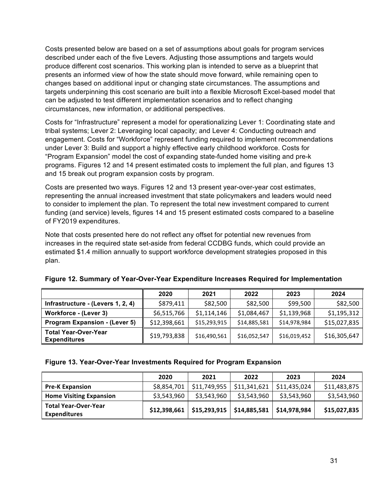Costs presented below are based on a set of assumptions about goals for program services described under each of the five Levers. Adjusting those assumptions and targets would produce different cost scenarios. This working plan is intended to serve as a blueprint that presents an informed view of how the state should move forward, while remaining open to changes based on additional input or changing state circumstances. The assumptions and targets underpinning this cost scenario are built into a flexible Microsoft Excel-based model that can be adjusted to test different implementation scenarios and to reflect changing circumstances, new information, or additional perspectives.

Costs for "Infrastructure" represent a model for operationalizing Lever 1: Coordinating state and tribal systems; Lever 2: Leveraging local capacity; and Lever 4: Conducting outreach and engagement. Costs for "Workforce" represent funding required to implement recommendations under Lever 3: Build and support a highly effective early childhood workforce. Costs for "Program Expansion" model the cost of expanding state-funded home visiting and pre-k programs. Figures 12 and 14 present estimated costs to implement the full plan, and figures 13 and 15 break out program expansion costs by program.

Costs are presented two ways. Figures 12 and 13 present year-over-year cost estimates, representing the annual increased investment that state policymakers and leaders would need to consider to implement the plan. To represent the total new investment compared to current funding (and service) levels, figures 14 and 15 present estimated costs compared to a baseline of FY2019 expenditures.

Note that costs presented here do not reflect any offset for potential new revenues from increases in the required state set-aside from federal CCDBG funds, which could provide an estimated \$1.4 million annually to support workforce development strategies proposed in this plan.

|                                                    | 2020         | 2021         | 2022         | 2023         | 2024         |
|----------------------------------------------------|--------------|--------------|--------------|--------------|--------------|
| Infrastructure - (Levers 1, 2, 4)                  | \$879,411    | \$82,500     | \$82,500     | \$99,500     | \$82,500     |
| Workforce - (Lever 3)                              | \$6,515,766  | \$1,114,146  | \$1,084,467  | \$1,139,968  | \$1,195,312  |
| <b>Program Expansion - (Lever 5)</b>               | \$12,398,661 | \$15,293,915 | \$14,885,581 | \$14,978,984 | \$15,027,835 |
| <b>Total Year-Over-Year</b><br><b>Expenditures</b> | \$19,793,838 | \$16,490,561 | \$16,052,547 | \$16,019,452 | \$16,305,647 |

|  |  | Figure 12. Summary of Year-Over-Year Expenditure Increases Required for Implementation |  |
|--|--|----------------------------------------------------------------------------------------|--|
|--|--|----------------------------------------------------------------------------------------|--|

#### **Figure 13. Year-Over-Year Investments Required for Program Expansion**

|                                                    | 2020         | 2021                        | 2022         | 2023         | 2024         |
|----------------------------------------------------|--------------|-----------------------------|--------------|--------------|--------------|
| <b>Pre-K Expansion</b>                             | \$8,854,701  | \$11,749,955                | \$11,341,621 | \$11,435,024 | \$11,483,875 |
| <b>Home Visiting Expansion</b>                     | \$3,543,960  | \$3,543,960                 | \$3,543,960  | \$3,543,960  | \$3,543,960  |
| <b>Total Year-Over-Year</b><br><b>Expenditures</b> | \$12,398,661 | $$15,293,915$ $$14,885,581$ |              | \$14,978,984 | \$15,027,835 |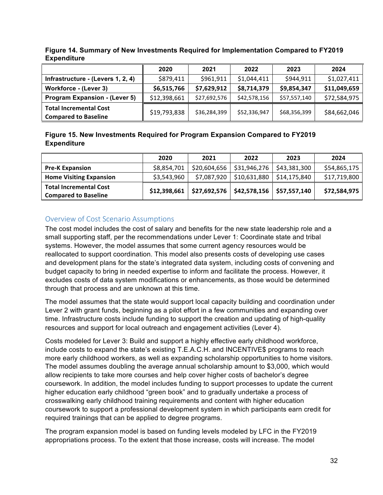|                                                              | 2020         | 2021         | 2022         | 2023         | 2024         |
|--------------------------------------------------------------|--------------|--------------|--------------|--------------|--------------|
| Infrastructure - (Levers 1, 2, 4)                            | \$879,411    | \$961,911    | \$1,044,411  | \$944,911    | \$1,027,411  |
| Workforce - (Lever 3)                                        | \$6,515,766  | \$7,629,912  | \$8,714,379  | \$9,854,347  | \$11,049,659 |
| <b>Program Expansion - (Lever 5)</b>                         | \$12,398,661 | \$27,692,576 | \$42,578,156 | \$57,557,140 | \$72,584,975 |
| <b>Total Incremental Cost</b><br><b>Compared to Baseline</b> | \$19,793,838 | \$36,284,399 | \$52,336,947 | \$68,356,399 | \$84,662,046 |

**Figure 14. Summary of New Investments Required for Implementation Compared to FY2019 Expenditure**

#### **Figure 15. New Investments Required for Program Expansion Compared to FY2019 Expenditure**

|                                                              | 2020         | 2021         | 2022                                       | 2023         | 2024         |
|--------------------------------------------------------------|--------------|--------------|--------------------------------------------|--------------|--------------|
| <b>Pre-K Expansion</b>                                       | \$8,854,701  | \$20,604,656 | \$31,946,276                               | \$43,381,300 | \$54,865,175 |
| <b>Home Visiting Expansion</b>                               | \$3,543,960  | \$7,087,920  | $\frac{1}{2}$ \$10,631,880                 | \$14,175,840 | \$17,719,800 |
| <b>Total Incremental Cost</b><br><b>Compared to Baseline</b> | \$12,398,661 |              | \$27,692,576   \$42,578,156   \$57,557,140 |              | \$72,584,975 |

#### Overview of Cost Scenario Assumptions

The cost model includes the cost of salary and benefits for the new state leadership role and a small supporting staff, per the recommendations under Lever 1: Coordinate state and tribal systems. However, the model assumes that some current agency resources would be reallocated to support coordination. This model also presents costs of developing use cases and development plans for the state's integrated data system, including costs of convening and budget capacity to bring in needed expertise to inform and facilitate the process. However, it excludes costs of data system modifications or enhancements, as those would be determined through that process and are unknown at this time.

The model assumes that the state would support local capacity building and coordination under Lever 2 with grant funds, beginning as a pilot effort in a few communities and expanding over time. Infrastructure costs include funding to support the creation and updating of high-quality resources and support for local outreach and engagement activities (Lever 4).

Costs modeled for Lever 3: Build and support a highly effective early childhood workforce, include costs to expand the state's existing T.E.A.C.H. and INCENTIVE\$ programs to reach more early childhood workers, as well as expanding scholarship opportunities to home visitors. The model assumes doubling the average annual scholarship amount to \$3,000, which would allow recipients to take more courses and help cover higher costs of bachelor's degree coursework. In addition, the model includes funding to support processes to update the current higher education early childhood "green book" and to gradually undertake a process of crosswalking early childhood training requirements and content with higher education coursework to support a professional development system in which participants earn credit for required trainings that can be applied to degree programs.

The program expansion model is based on funding levels modeled by LFC in the FY2019 appropriations process. To the extent that those increase, costs will increase. The model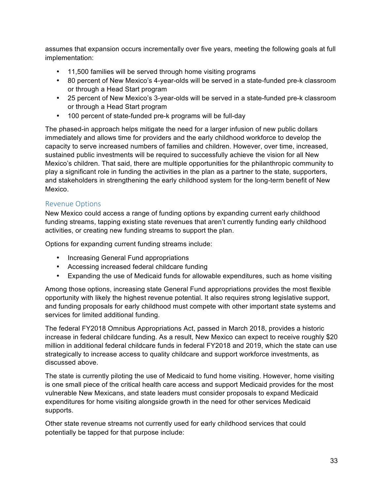assumes that expansion occurs incrementally over five years, meeting the following goals at full implementation:

- 11,500 families will be served through home visiting programs
- 80 percent of New Mexico's 4-year-olds will be served in a state-funded pre-k classroom or through a Head Start program
- 25 percent of New Mexico's 3-year-olds will be served in a state-funded pre-k classroom or through a Head Start program
- 100 percent of state-funded pre-k programs will be full-day

The phased-in approach helps mitigate the need for a larger infusion of new public dollars immediately and allows time for providers and the early childhood workforce to develop the capacity to serve increased numbers of families and children. However, over time, increased, sustained public investments will be required to successfully achieve the vision for all New Mexico's children. That said, there are multiple opportunities for the philanthropic community to play a significant role in funding the activities in the plan as a partner to the state, supporters, and stakeholders in strengthening the early childhood system for the long-term benefit of New Mexico.

#### Revenue Options

New Mexico could access a range of funding options by expanding current early childhood funding streams, tapping existing state revenues that aren't currently funding early childhood activities, or creating new funding streams to support the plan.

Options for expanding current funding streams include:

- Increasing General Fund appropriations
- Accessing increased federal childcare funding
- Expanding the use of Medicaid funds for allowable expenditures, such as home visiting

Among those options, increasing state General Fund appropriations provides the most flexible opportunity with likely the highest revenue potential. It also requires strong legislative support, and funding proposals for early childhood must compete with other important state systems and services for limited additional funding.

The federal FY2018 Omnibus Appropriations Act, passed in March 2018, provides a historic increase in federal childcare funding. As a result, New Mexico can expect to receive roughly \$20 million in additional federal childcare funds in federal FY2018 and 2019, which the state can use strategically to increase access to quality childcare and support workforce investments, as discussed above.

The state is currently piloting the use of Medicaid to fund home visiting. However, home visiting is one small piece of the critical health care access and support Medicaid provides for the most vulnerable New Mexicans, and state leaders must consider proposals to expand Medicaid expenditures for home visiting alongside growth in the need for other services Medicaid supports.

Other state revenue streams not currently used for early childhood services that could potentially be tapped for that purpose include: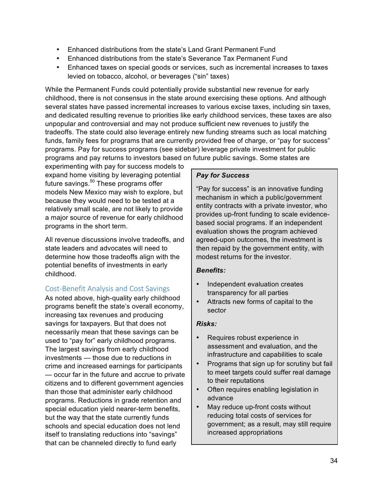- Enhanced distributions from the state's Land Grant Permanent Fund
- Enhanced distributions from the state's Severance Tax Permanent Fund
- Enhanced taxes on special goods or services, such as incremental increases to taxes levied on tobacco, alcohol, or beverages ("sin" taxes)

While the Permanent Funds could potentially provide substantial new revenue for early childhood, there is not consensus in the state around exercising these options. And although several states have passed incremental increases to various excise taxes, including sin taxes, and dedicated resulting revenue to priorities like early childhood services, these taxes are also unpopular and controversial and may not produce sufficient new revenues to justify the tradeoffs. The state could also leverage entirely new funding streams such as local matching funds, family fees for programs that are currently provided free of charge, or "pay for success" programs. Pay for success programs (see sidebar) leverage private investment for public programs and pay returns to investors based on future public savings. Some states are

experimenting with pay for success models to expand home visiting by leveraging potential future savings.<sup>50</sup> These programs offer models New Mexico may wish to explore, but because they would need to be tested at a relatively small scale, are not likely to provide a major source of revenue for early childhood programs in the short term.

All revenue discussions involve tradeoffs, and state leaders and advocates will need to determine how those tradeoffs align with the potential benefits of investments in early childhood.

### Cost-Benefit Analysis and Cost Savings

As noted above, high-quality early childhood programs benefit the state's overall economy, increasing tax revenues and producing savings for taxpayers. But that does not necessarily mean that these savings can be used to "pay for" early childhood programs. The largest savings from early childhood investments — those due to reductions in crime and increased earnings for participants — occur far in the future and accrue to private citizens and to different government agencies than those that administer early childhood programs. Reductions in grade retention and special education yield nearer-term benefits, but the way that the state currently funds schools and special education does not lend itself to translating reductions into "savings" that can be channeled directly to fund early

#### *Pay for Success*

"Pay for success" is an innovative funding mechanism in which a public/government entity contracts with a private investor, who provides up-front funding to scale evidencebased social programs. If an independent evaluation shows the program achieved agreed-upon outcomes, the investment is then repaid by the government entity, with modest returns for the investor.

#### *Benefits:*

- Independent evaluation creates transparency for all parties
- Attracts new forms of capital to the sector

#### *Risks:*

- Requires robust experience in assessment and evaluation, and the infrastructure and capabilities to scale
- Programs that sign up for scrutiny but fail to meet targets could suffer real damage to their reputations
- Often requires enabling legislation in advance
- May reduce up-front costs without reducing total costs of services for government; as a result, may still require increased appropriations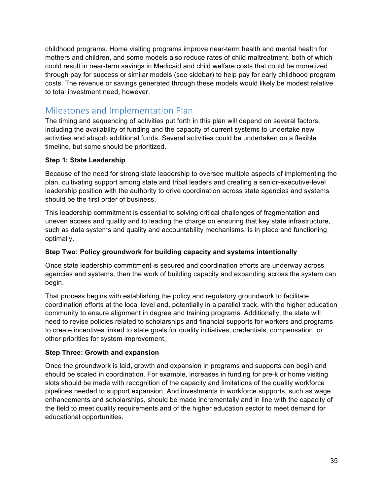childhood programs. Home visiting programs improve near-term health and mental health for mothers and children, and some models also reduce rates of child maltreatment, both of which could result in near-term savings in Medicaid and child welfare costs that could be monetized through pay for success or similar models (see sidebar) to help pay for early childhood program costs. The revenue or savings generated through these models would likely be modest relative to total investment need, however.

### Milestones and Implementation Plan

The timing and sequencing of activities put forth in this plan will depend on several factors, including the availability of funding and the capacity of current systems to undertake new activities and absorb additional funds. Several activities could be undertaken on a flexible timeline, but some should be prioritized.

#### **Step 1: State Leadership**

Because of the need for strong state leadership to oversee multiple aspects of implementing the plan, cultivating support among state and tribal leaders and creating a senior-executive-level leadership position with the authority to drive coordination across state agencies and systems should be the first order of business.

This leadership commitment is essential to solving critical challenges of fragmentation and uneven access and quality and to leading the charge on ensuring that key state infrastructure, such as data systems and quality and accountability mechanisms, is in place and functioning optimally.

#### **Step Two: Policy groundwork for building capacity and systems intentionally**

Once state leadership commitment is secured and coordination efforts are underway across agencies and systems, then the work of building capacity and expanding across the system can begin.

That process begins with establishing the policy and regulatory groundwork to facilitate coordination efforts at the local level and, potentially in a parallel track, with the higher education community to ensure alignment in degree and training programs. Additionally, the state will need to revise policies related to scholarships and financial supports for workers and programs to create incentives linked to state goals for quality initiatives, credentials, compensation, or other priorities for system improvement.

#### **Step Three: Growth and expansion**

Once the groundwork is laid, growth and expansion in programs and supports can begin and should be scaled in coordination. For example, increases in funding for pre-k or home visiting slots should be made with recognition of the capacity and limitations of the quality workforce pipelines needed to support expansion. And investments in workforce supports, such as wage enhancements and scholarships, should be made incrementally and in line with the capacity of the field to meet quality requirements and of the higher education sector to meet demand for educational opportunities.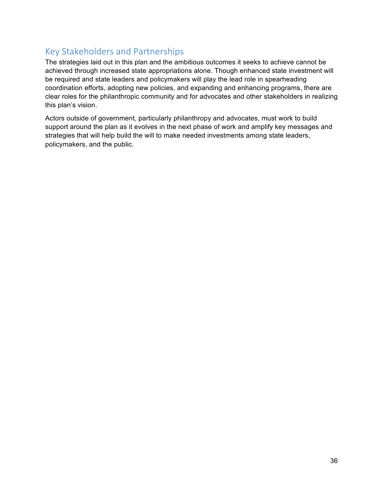### Key Stakeholders and Partnerships

The strategies laid out in this plan and the ambitious outcomes it seeks to achieve cannot be achieved through increased state appropriations alone. Though enhanced state investment will be required and state leaders and policymakers will play the lead role in spearheading coordination efforts, adopting new policies, and expanding and enhancing programs, there are clear roles for the philanthropic community and for advocates and other stakeholders in realizing this plan's vision.

Actors outside of government, particularly philanthropy and advocates, must work to build support around the plan as it evolves in the next phase of work and amplify key messages and strategies that will help build the will to make needed investments among state leaders, policymakers, and the public.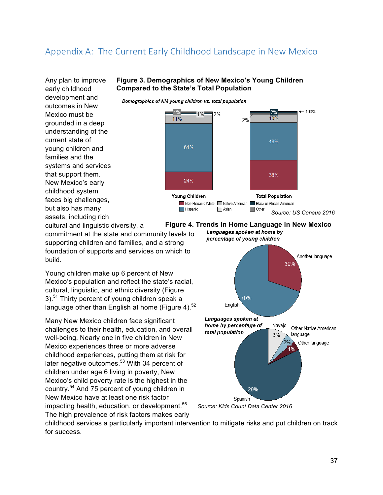### Appendix A: The Current Early Childhood Landscape in New Mexico

Any plan to improve early childhood development and outcomes in New Mexico must be grounded in a deep understanding of the current state of young children and families and the systems and services that support them. New Mexico's early childhood system faces big challenges, but also has many assets, including rich

#### **Figure 3. Demographics of New Mexico's Young Children Compared to the State's Total Population**

Demographics of NM young children vs. total population



cultural and linguistic diversity, a commitment at the state and community levels to supporting children and families, and a strong foundation of supports and services on which to build.

Young children make up 6 percent of New Mexico's population and reflect the state's racial, cultural, linguistic, and ethnic diversity (Figure 3).<sup>51</sup> Thirty percent of young children speak a language other than English at home (Figure 4). $52$ 

Many New Mexico children face significant challenges to their health, education, and overall well-being. Nearly one in five children in New Mexico experiences three or more adverse childhood experiences, putting them at risk for later negative outcomes.<sup>53</sup> With 34 percent of children under age 6 living in poverty, New Mexico's child poverty rate is the highest in the country.<sup>54</sup> And 75 percent of young children in New Mexico have at least one risk factor impacting health, education, or development.<sup>55</sup> The high prevalence of risk factors makes early



percentage of young children



*Source: Kids Count Data Center 2016*

childhood services a particularly important intervention to mitigate risks and put children on track for success.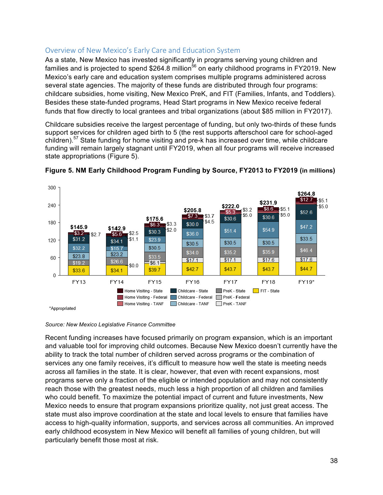#### Overview of New Mexico's Early Care and Education System

As a state, New Mexico has invested significantly in programs serving young children and families and is projected to spend \$264.8 million<sup>56</sup> on early childhood programs in FY2019. New Mexico's early care and education system comprises multiple programs administered across several state agencies. The majority of these funds are distributed through four programs: childcare subsidies, home visiting, New Mexico PreK, and FIT (Families, Infants, and Toddlers). Besides these state-funded programs, Head Start programs in New Mexico receive federal funds that flow directly to local grantees and tribal organizations (about \$85 million in FY2017).

Childcare subsidies receive the largest percentage of funding, but only two-thirds of these funds support services for children aged birth to 5 (the rest supports afterschool care for school-aged children).<sup>57</sup> State funding for home visiting and pre-k has increased over time, while childcare funding will remain largely stagnant until FY2019, when all four programs will receive increased state appropriations (Figure 5).



#### **Figure 5. NM Early Childhood Program Funding by Source, FY2013 to FY2019 (in millions)**

*Source: New Mexico Legislative Finance Committee*

Recent funding increases have focused primarily on program expansion, which is an important and valuable tool for improving child outcomes. Because New Mexico doesn't currently have the ability to track the total number of children served across programs or the combination of services any one family receives, it's difficult to measure how well the state is meeting needs across all families in the state. It is clear, however, that even with recent expansions, most programs serve only a fraction of the eligible or intended population and may not consistently reach those with the greatest needs, much less a high proportion of all children and families who could benefit. To maximize the potential impact of current and future investments, New Mexico needs to ensure that program expansions prioritize quality, not just great access. The state must also improve coordination at the state and local levels to ensure that families have access to high-quality information, supports, and services across all communities. An improved early childhood ecosystem in New Mexico will benefit all families of young children, but will particularly benefit those most at risk.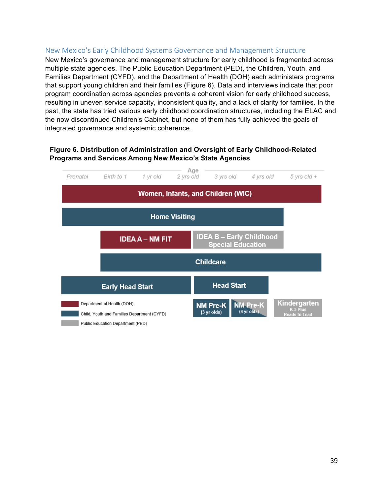#### New Mexico's Early Childhood Systems Governance and Management Structure

New Mexico's governance and management structure for early childhood is fragmented across multiple state agencies. The Public Education Department (PED), the Children, Youth, and Families Department (CYFD), and the Department of Health (DOH) each administers programs that support young children and their families (Figure 6). Data and interviews indicate that poor program coordination across agencies prevents a coherent vision for early childhood success, resulting in uneven service capacity, inconsistent quality, and a lack of clarity for families. In the past, the state has tried various early childhood coordination structures, including the ELAC and the now discontinued Children's Cabinet, but none of them has fully achieved the goals of integrated governance and systemic coherence.

#### **Figure 6. Distribution of Administration and Oversight of Early Childhood-Related Programs and Services Among New Mexico's State Agencies**

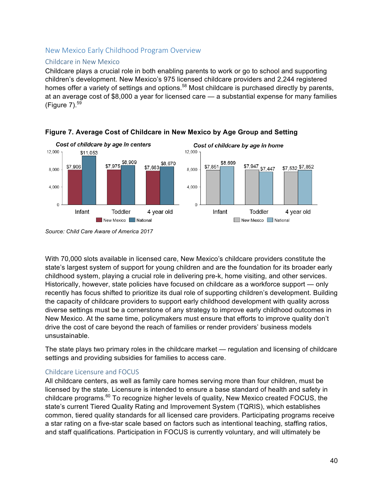#### New Mexico Early Childhood Program Overview

#### Childcare in New Mexico

Childcare plays a crucial role in both enabling parents to work or go to school and supporting children's development. New Mexico's 975 licensed childcare providers and 2,244 registered homes offer a variety of settings and options.<sup>58</sup> Most childcare is purchased directly by parents, at an average cost of \$8,000 a year for licensed care — a substantial expense for many families (Figure  $7)$ .<sup>59</sup>





With 70,000 slots available in licensed care, New Mexico's childcare providers constitute the state's largest system of support for young children and are the foundation for its broader early childhood system, playing a crucial role in delivering pre-k, home visiting, and other services. Historically, however, state policies have focused on childcare as a workforce support — only recently has focus shifted to prioritize its dual role of supporting children's development. Building the capacity of childcare providers to support early childhood development with quality across diverse settings must be a cornerstone of any strategy to improve early childhood outcomes in New Mexico. At the same time, policymakers must ensure that efforts to improve quality don't drive the cost of care beyond the reach of families or render providers' business models unsustainable.

The state plays two primary roles in the childcare market — regulation and licensing of childcare settings and providing subsidies for families to access care.

#### Childcare Licensure and FOCUS

All childcare centers, as well as family care homes serving more than four children, must be licensed by the state. Licensure is intended to ensure a base standard of health and safety in childcare programs.<sup>60</sup> To recognize higher levels of quality, New Mexico created FOCUS, the state's current Tiered Quality Rating and Improvement System (TQRIS), which establishes common, tiered quality standards for all licensed care providers. Participating programs receive a star rating on a five-star scale based on factors such as intentional teaching, staffing ratios, and staff qualifications. Participation in FOCUS is currently voluntary, and will ultimately be

*Source: Child Care Aware of America 2017*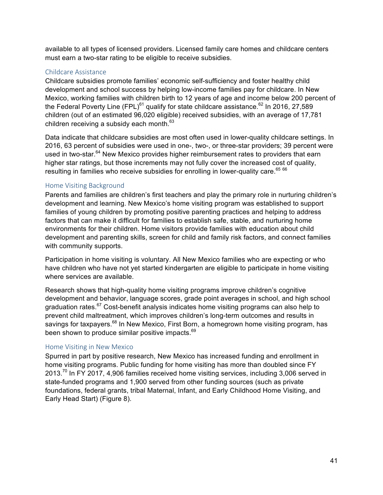available to all types of licensed providers. Licensed family care homes and childcare centers must earn a two-star rating to be eligible to receive subsidies.

#### Childcare Assistance

Childcare subsidies promote families' economic self-sufficiency and foster healthy child development and school success by helping low-income families pay for childcare. In New Mexico, working families with children birth to 12 years of age and income below 200 percent of the Federal Poverty Line (FPL) $^{61}$  qualify for state childcare assistance.<sup>62</sup> In 2016, 27,589 children (out of an estimated 96,020 eligible) received subsidies, with an average of 17,781 children receiving a subsidy each month.<sup>63</sup>

Data indicate that childcare subsidies are most often used in lower-quality childcare settings. In 2016, 63 percent of subsidies were used in one-, two-, or three-star providers; 39 percent were used in two-star.<sup>64</sup> New Mexico provides higher reimbursement rates to providers that earn higher star ratings, but those increments may not fully cover the increased cost of quality, resulting in families who receive subsidies for enrolling in lower-quality care.<sup>65 66</sup>

#### Home Visiting Background

Parents and families are children's first teachers and play the primary role in nurturing children's development and learning. New Mexico's home visiting program was established to support families of young children by promoting positive parenting practices and helping to address factors that can make it difficult for families to establish safe, stable, and nurturing home environments for their children. Home visitors provide families with education about child development and parenting skills, screen for child and family risk factors, and connect families with community supports.

Participation in home visiting is voluntary. All New Mexico families who are expecting or who have children who have not yet started kindergarten are eligible to participate in home visiting where services are available.

Research shows that high-quality home visiting programs improve children's cognitive development and behavior, language scores, grade point averages in school, and high school graduation rates.<sup>67</sup> Cost-benefit analysis indicates home visiting programs can also help to prevent child maltreatment, which improves children's long-term outcomes and results in savings for taxpayers.<sup>68</sup> In New Mexico, First Born, a homegrown home visiting program, has been shown to produce similar positive impacts.<sup>69</sup>

#### Home Visiting in New Mexico

Spurred in part by positive research, New Mexico has increased funding and enrollment in home visiting programs. Public funding for home visiting has more than doubled since FY 2013.<sup>70</sup> In FY 2017, 4,906 families received home visiting services, including 3,006 served in state-funded programs and 1,900 served from other funding sources (such as private foundations, federal grants, tribal Maternal, Infant, and Early Childhood Home Visiting, and Early Head Start) (Figure 8).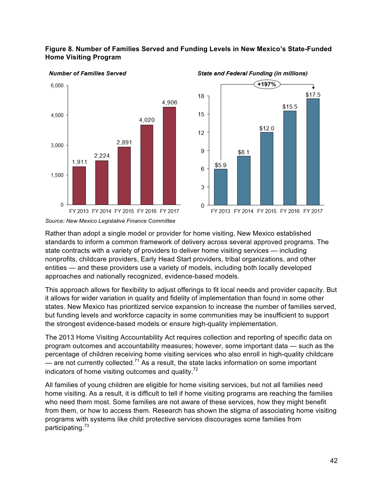#### **Figure 8. Number of Families Served and Funding Levels in New Mexico's State-Funded Home Visiting Program**



**Number of Families Served** 



#### **State and Federal Funding (in millions)**

Rather than adopt a single model or provider for home visiting, New Mexico established standards to inform a common framework of delivery across several approved programs. The state contracts with a variety of providers to deliver home visiting services — including nonprofits, childcare providers, Early Head Start providers, tribal organizations, and other entities — and these providers use a variety of models, including both locally developed approaches and nationally recognized, evidence-based models.

This approach allows for flexibility to adjust offerings to fit local needs and provider capacity. But it allows for wider variation in quality and fidelity of implementation than found in some other states. New Mexico has prioritized service expansion to increase the number of families served, but funding levels and workforce capacity in some communities may be insufficient to support the strongest evidence-based models or ensure high-quality implementation.

The 2013 Home Visiting Accountability Act requires collection and reporting of specific data on program outcomes and accountability measures; however, some important data — such as the percentage of children receiving home visiting services who also enroll in high-quality childcare — are not currently collected.<sup>71</sup> As a result, the state lacks information on some important indicators of home visiting outcomes and quality. $72$ 

All families of young children are eligible for home visiting services, but not all families need home visiting. As a result, it is difficult to tell if home visiting programs are reaching the families who need them most. Some families are not aware of these services, how they might benefit from them, or how to access them. Research has shown the stigma of associating home visiting programs with systems like child protective services discourages some families from participating.<sup>73</sup>

*Source: New Mexico Legislative Finance Committee*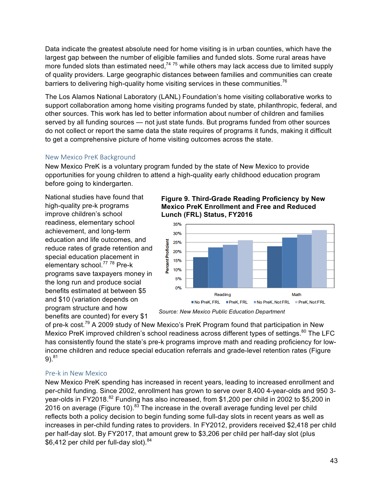Data indicate the greatest absolute need for home visiting is in urban counties, which have the largest gap between the number of eligible families and funded slots. Some rural areas have more funded slots than estimated need, $74.75$  while others may lack access due to limited supply of quality providers. Large geographic distances between families and communities can create barriers to delivering high-quality home visiting services in these communities.<sup>76</sup>

The Los Alamos National Laboratory (LANL) Foundation's home visiting collaborative works to support collaboration among home visiting programs funded by state, philanthropic, federal, and other sources. This work has led to better information about number of children and families served by all funding sources — not just state funds. But programs funded from other sources do not collect or report the same data the state requires of programs it funds, making it difficult to get a comprehensive picture of home visiting outcomes across the state.

#### New Mexico PreK Background

New Mexico PreK is a voluntary program funded by the state of New Mexico to provide opportunities for young children to attend a high-quality early childhood education program before going to kindergarten.

National studies have found that high-quality pre-k programs improve children's school readiness, elementary school achievement, and long-term education and life outcomes, and reduce rates of grade retention and special education placement in elementary school.<sup>77</sup> 78 Pre-k programs save taxpayers money in the long run and produce social benefits estimated at between \$5 and \$10 (variation depends on program structure and how benefits are counted) for every \$1

**Figure 9. Third-Grade Reading Proficiency by New Mexico PreK Enrollment and Free and Reduced Lunch (FRL) Status, FY2016**



*Source: New Mexico Public Education Department*

of pre-k cost.<sup>79</sup> A 2009 study of New Mexico's PreK Program found that participation in New Mexico PreK improved children's school readiness across different types of settings.<sup>80</sup> The LFC has consistently found the state's pre-k programs improve math and reading proficiency for lowincome children and reduce special education referrals and grade-level retention rates (Figure  $9)$ .<sup>81</sup>

#### Pre-k in New Mexico

New Mexico PreK spending has increased in recent years, leading to increased enrollment and per-child funding. Since 2002, enrollment has grown to serve over 8,400 4-year-olds and 950 3 year-olds in FY2018.<sup>82</sup> Funding has also increased, from \$1,200 per child in 2002 to \$5,200 in 2016 on average (Figure 10). $^{83}$  The increase in the overall average funding level per child reflects both a policy decision to begin funding some full-day slots in recent years as well as increases in per-child funding rates to providers. In FY2012, providers received \$2,418 per child per half-day slot. By FY2017, that amount grew to \$3,206 per child per half-day slot (plus \$6,412 per child per full-day slot). $84$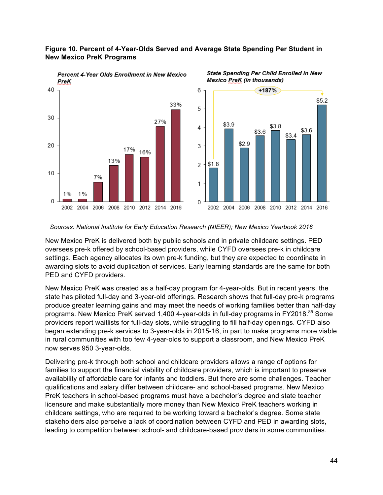#### **Figure 10. Percent of 4-Year-Olds Served and Average State Spending Per Student in New Mexico PreK Programs**







*Sources: National Institute for Early Education Research (NIEER); New Mexico Yearbook 2016*

New Mexico PreK is delivered both by public schools and in private childcare settings. PED oversees pre-k offered by school-based providers, while CYFD oversees pre-k in childcare settings. Each agency allocates its own pre-k funding, but they are expected to coordinate in awarding slots to avoid duplication of services. Early learning standards are the same for both PED and CYFD providers.

New Mexico PreK was created as a half-day program for 4-year-olds. But in recent years, the state has piloted full-day and 3-year-old offerings. Research shows that full-day pre-k programs produce greater learning gains and may meet the needs of working families better than half-day programs. New Mexico PreK served 1,400 4-year-olds in full-day programs in FY2018.<sup>85</sup> Some providers report waitlists for full-day slots, while struggling to fill half-day openings. CYFD also began extending pre-k services to 3-year-olds in 2015-16, in part to make programs more viable in rural communities with too few 4-year-olds to support a classroom, and New Mexico PreK now serves 950 3-year-olds.

Delivering pre-k through both school and childcare providers allows a range of options for families to support the financial viability of childcare providers, which is important to preserve availability of affordable care for infants and toddlers. But there are some challenges. Teacher qualifications and salary differ between childcare- and school-based programs. New Mexico PreK teachers in school-based programs must have a bachelor's degree and state teacher licensure and make substantially more money than New Mexico PreK teachers working in childcare settings, who are required to be working toward a bachelor's degree. Some state stakeholders also perceive a lack of coordination between CYFD and PED in awarding slots, leading to competition between school- and childcare-based providers in some communities.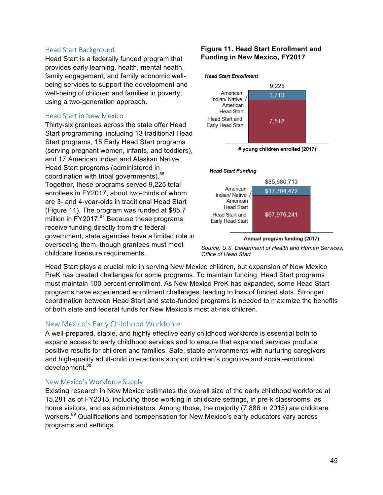#### Head Start Background

Head Start is a federally funded program that provides early learning, health, mental health, family engagement, and family economic wellbeing services to support the development and well-being of children and families in poverty, using a two-generation approach.

#### Head Start in New Mexico

Thirty-six grantees across the state offer Head Start programming, including 13 traditional Head Start programs, 15 Early Head Start programs (serving pregnant women, infants, and toddlers), and 17 American Indian and Alaskan Native Head Start programs (administered in coordination with tribal governments).<sup>86</sup> Together, these programs served 9,225 total enrollees in FY2017, about two-thirds of whom are 3- and 4-year-olds in traditional Head Start (Figure 11). The program was funded at \$85.7 million in  $FY2017.<sup>87</sup>$  Because these programs receive funding directly from the federal government, state agencies have a limited role in overseeing them, though grantees must meet childcare licensure requirements.

#### **Figure 11. Head Start Enrollment and Funding in New Mexico, FY2017**



# young children enrolled (2017)

#### **Head Start Funding**



Annual program funding (2017)

*Source: U.S. Department of Health and Human Services, Office of Head Start*

Head Start plays a crucial role in serving New Mexico children, but expansion of New Mexico PreK has created challenges for some programs. To maintain funding, Head Start programs must maintain 100 percent enrollment. As New Mexico PreK has expanded, some Head Start programs have experienced enrollment challenges, leading to loss of funded slots. Stronger coordination between Head Start and state-funded programs is needed to maximize the benefits of both state and federal funds for New Mexico's most at-risk children.

#### New Mexico's Early Childhood Workforce

A well-prepared, stable, and highly effective early childhood workforce is essential both to expand access to early childhood services and to ensure that expanded services produce positive results for children and families. Safe, stable environments with nurturing caregivers and high-quality adult-child interactions support children's cognitive and social-emotional development.<sup>88</sup>

#### New Mexico's Workforce Supply

Existing research in New Mexico estimates the overall size of the early childhood workforce at 15,281 as of FY2015, including those working in childcare settings, in pre-k classrooms, as home visitors, and as administrators. Among those, the majority (7,886 in 2015) are childcare workers.<sup>89</sup> Qualifications and compensation for New Mexico's early educators vary across programs and settings.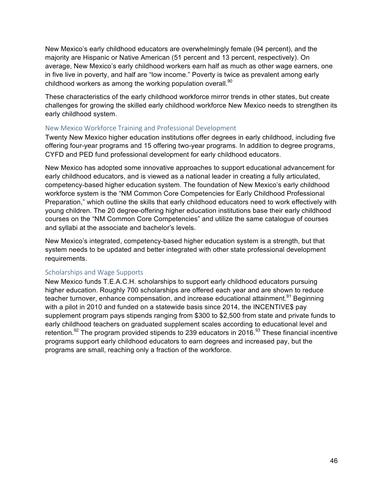New Mexico's early childhood educators are overwhelmingly female (94 percent), and the majority are Hispanic or Native American (51 percent and 13 percent, respectively). On average, New Mexico's early childhood workers earn half as much as other wage earners, one in five live in poverty, and half are "low income." Poverty is twice as prevalent among early childhood workers as among the working population overall.<sup>90</sup>

These characteristics of the early childhood workforce mirror trends in other states, but create challenges for growing the skilled early childhood workforce New Mexico needs to strengthen its early childhood system.

#### New Mexico Workforce Training and Professional Development

Twenty New Mexico higher education institutions offer degrees in early childhood, including five offering four-year programs and 15 offering two-year programs. In addition to degree programs, CYFD and PED fund professional development for early childhood educators.

New Mexico has adopted some innovative approaches to support educational advancement for early childhood educators, and is viewed as a national leader in creating a fully articulated, competency-based higher education system. The foundation of New Mexico's early childhood workforce system is the "NM Common Core Competencies for Early Childhood Professional Preparation," which outline the skills that early childhood educators need to work effectively with young children. The 20 degree-offering higher education institutions base their early childhood courses on the "NM Common Core Competencies" and utilize the same catalogue of courses and syllabi at the associate and bachelor's levels.

New Mexico's integrated, competency-based higher education system is a strength, but that system needs to be updated and better integrated with other state professional development requirements.

#### Scholarships and Wage Supports

New Mexico funds T.E.A.C.H. scholarships to support early childhood educators pursuing higher education. Roughly 700 scholarships are offered each year and are shown to reduce teacher turnover, enhance compensation, and increase educational attainment.<sup>91</sup> Beginning with a pilot in 2010 and funded on a statewide basis since 2014, the INCENTIVE\$ pay supplement program pays stipends ranging from \$300 to \$2,500 from state and private funds to early childhood teachers on graduated supplement scales according to educational level and retention.<sup>92</sup> The program provided stipends to 239 educators in 2016.<sup>93</sup> These financial incentive programs support early childhood educators to earn degrees and increased pay, but the programs are small, reaching only a fraction of the workforce.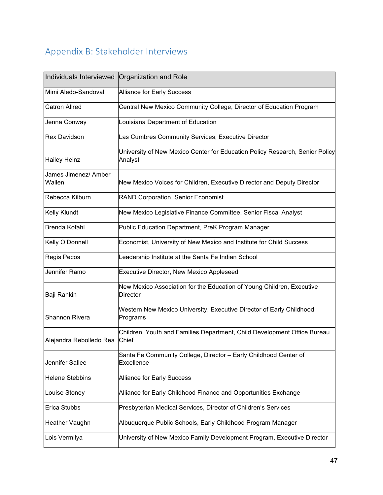# Appendix B: Stakeholder Interviews

| Individuals Interviewed        | Organization and Role                                                                    |
|--------------------------------|------------------------------------------------------------------------------------------|
| Mimi Aledo-Sandoval            | Alliance for Early Success                                                               |
| <b>Catron Allred</b>           | Central New Mexico Community College, Director of Education Program                      |
| Jenna Conway                   | Louisiana Department of Education                                                        |
| <b>Rex Davidson</b>            | Las Cumbres Community Services, Executive Director                                       |
| <b>Hailey Heinz</b>            | University of New Mexico Center for Education Policy Research, Senior Policy<br>Analyst  |
| James Jimenez/ Amber<br>Wallen | New Mexico Voices for Children, Executive Director and Deputy Director                   |
| Rebecca Kilburn                | RAND Corporation, Senior Economist                                                       |
| Kelly Klundt                   | New Mexico Legislative Finance Committee, Senior Fiscal Analyst                          |
| Brenda Kofahl                  | Public Education Department, PreK Program Manager                                        |
| Kelly O'Donnell                | Economist, University of New Mexico and Institute for Child Success                      |
| Regis Pecos                    | Leadership Institute at the Santa Fe Indian School                                       |
| Jennifer Ramo                  | Executive Director, New Mexico Appleseed                                                 |
| Baji Rankin                    | New Mexico Association for the Education of Young Children, Executive<br><b>Director</b> |
| Shannon Rivera                 | Western New Mexico University, Executive Director of Early Childhood<br>Programs         |
| Alejandra Rebolledo Rea        | Children, Youth and Families Department, Child Development Office Bureau<br>Chief        |
| Jennifer Sallee                | Santa Fe Community College, Director - Early Childhood Center of<br>Excellence           |
| <b>Helene Stebbins</b>         | Alliance for Early Success                                                               |
| Louise Stoney                  | Alliance for Early Childhood Finance and Opportunities Exchange                          |
| Erica Stubbs                   | Presbyterian Medical Services, Director of Children's Services                           |
| Heather Vaughn                 | Albuquerque Public Schools, Early Childhood Program Manager                              |
| Lois Vermilya                  | University of New Mexico Family Development Program, Executive Director                  |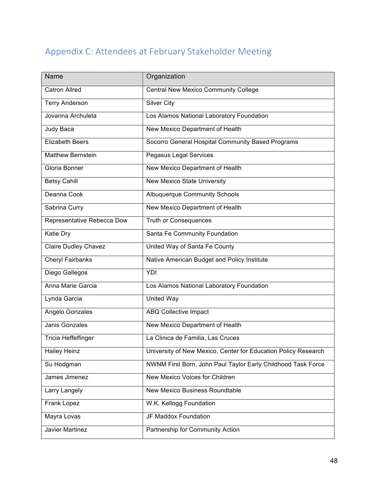# Appendix C: Attendees at February Stakeholder Meeting

| <b>Name</b>                 | Organization                                                   |
|-----------------------------|----------------------------------------------------------------|
| <b>Catron Allred</b>        | <b>Central New Mexico Community College</b>                    |
| <b>Terry Anderson</b>       | <b>Silver City</b>                                             |
| Jovanna Archuleta           | Los Alamos National Laboratory Foundation                      |
| Judy Baca                   | New Mexico Department of Health                                |
| <b>Elizabeth Beers</b>      | Socorro General Hospital Community Based Programs              |
| <b>Matthew Bernstein</b>    | Pegasus Legal Services                                         |
| Gloria Bonner               | New Mexico Department of Health                                |
| <b>Betsy Cahill</b>         | New Mexico State University                                    |
| Deanna Cook                 | <b>Albuquerque Community Schools</b>                           |
| Sabrina Curry               | New Mexico Department of Health                                |
| Representative Rebecca Dow  | <b>Truth or Consequences</b>                                   |
| Katie Dry                   | Santa Fe Community Foundation                                  |
| <b>Claire Dudley Chavez</b> | United Way of Santa Fe County                                  |
| <b>Cheryl Fairbanks</b>     | Native American Budget and Policy Institute                    |
| Diego Gallegos              | YDI                                                            |
| Anna Marie Garcia           | Los Alamos National Laboratory Foundation                      |
| Lynda Garcia                | <b>United Way</b>                                              |
| Angelo Gonzales             | ABQ Collective Impact                                          |
| Janis Gonzales              | New Mexico Department of Health                                |
| Tricia Heffelfinger         | La Clinica de Familia, Las Cruces                              |
| Hailey Heinz                | University of New Mexico, Center for Education Policy Research |
| Su Hodgman                  | NWNM First Born, John Paul Taylor Early Childhood Task Force   |
| James Jimenez               | New Mexico Voices for Children                                 |
| Larry Langely               | New Mexico Business Roundtable                                 |
| Frank Lopez                 | W.K. Kellogg Foundation                                        |
| Mayra Lovas                 | JF Maddox Foundation                                           |
| Javier Martinez             | Partnership for Community Action                               |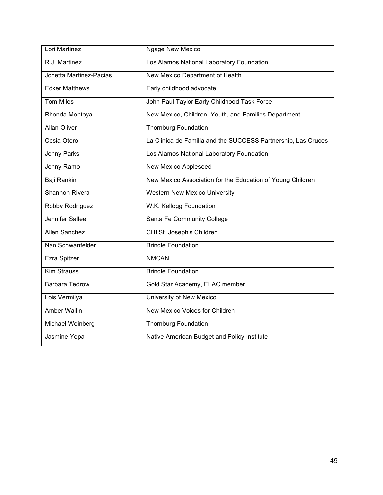| Lori Martinez           | <b>Ngage New Mexico</b>                                       |
|-------------------------|---------------------------------------------------------------|
| R.J. Martinez           | Los Alamos National Laboratory Foundation                     |
| Jonetta Martinez-Pacias | New Mexico Department of Health                               |
| <b>Edker Matthews</b>   | Early childhood advocate                                      |
| <b>Tom Miles</b>        | John Paul Taylor Early Childhood Task Force                   |
| Rhonda Montoya          | New Mexico, Children, Youth, and Families Department          |
| <b>Allan Oliver</b>     | <b>Thornburg Foundation</b>                                   |
| Cesia Otero             | La Clinica de Familia and the SUCCESS Partnership, Las Cruces |
| Jenny Parks             | Los Alamos National Laboratory Foundation                     |
| Jenny Ramo              | New Mexico Appleseed                                          |
| Baji Rankin             | New Mexico Association for the Education of Young Children    |
| Shannon Rivera          | <b>Western New Mexico University</b>                          |
| Robby Rodriguez         | W.K. Kellogg Foundation                                       |
| Jennifer Sallee         | Santa Fe Community College                                    |
| Allen Sanchez           | CHI St. Joseph's Children                                     |
| Nan Schwanfelder        | <b>Brindle Foundation</b>                                     |
| Ezra Spitzer            | <b>NMCAN</b>                                                  |
| <b>Kim Strauss</b>      | <b>Brindle Foundation</b>                                     |
| <b>Barbara Tedrow</b>   | Gold Star Academy, ELAC member                                |
| Lois Vermilya           | University of New Mexico                                      |
| <b>Amber Wallin</b>     | New Mexico Voices for Children                                |
| Michael Weinberg        | <b>Thornburg Foundation</b>                                   |
| Jasmine Yepa            | Native American Budget and Policy Institute                   |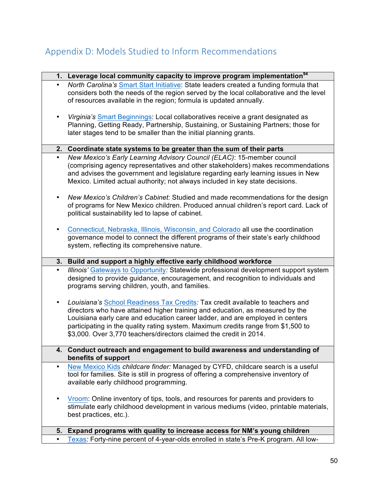# Appendix D: Models Studied to Inform Recommendations

|           | 1. Leverage local community capacity to improve program implementation <sup>94</sup>                                                                                                                                                                                                                                                                                                                        |
|-----------|-------------------------------------------------------------------------------------------------------------------------------------------------------------------------------------------------------------------------------------------------------------------------------------------------------------------------------------------------------------------------------------------------------------|
| $\bullet$ | North Carolina's Smart Start Initiative: State leaders created a funding formula that<br>considers both the needs of the region served by the local collaborative and the level<br>of resources available in the region; formula is updated annually.                                                                                                                                                       |
|           | Virginia's Smart Beginnings: Local collaboratives receive a grant designated as<br>Planning, Getting Ready, Partnership, Sustaining, or Sustaining Partners; those for<br>later stages tend to be smaller than the initial planning grants.                                                                                                                                                                 |
|           | 2. Coordinate state systems to be greater than the sum of their parts                                                                                                                                                                                                                                                                                                                                       |
| $\bullet$ | New Mexico's Early Learning Advisory Council (ELAC): 15-member council<br>(comprising agency representatives and other stakeholders) makes recommendations<br>and advises the government and legislature regarding early learning issues in New<br>Mexico. Limited actual authority; not always included in key state decisions.                                                                            |
|           | New Mexico's Children's Cabinet: Studied and made recommendations for the design<br>of programs for New Mexico children. Produced annual children's report card. Lack of<br>political sustainability led to lapse of cabinet.                                                                                                                                                                               |
|           | Connecticut, Nebraska, Illinois, Wisconsin, and Colorado all use the coordination<br>governance model to connect the different programs of their state's early childhood<br>system, reflecting its comprehensive nature.                                                                                                                                                                                    |
|           | 3. Build and support a highly effective early childhood workforce                                                                                                                                                                                                                                                                                                                                           |
|           | Illinois' Gateways to Opportunity: Statewide professional development support system<br>designed to provide guidance, encouragement, and recognition to individuals and<br>programs serving children, youth, and families.                                                                                                                                                                                  |
|           | Louisiana's School Readiness Tax Credits: Tax credit available to teachers and<br>directors who have attained higher training and education, as measured by the<br>Louisiana early care and education career ladder, and are employed in centers<br>participating in the quality rating system. Maximum credits range from \$1,500 to<br>\$3,000. Over 3,770 teachers/directors claimed the credit in 2014. |
|           | 4. Conduct outreach and engagement to build awareness and understanding of<br>benefits of support                                                                                                                                                                                                                                                                                                           |
| $\bullet$ | New Mexico Kids childcare finder: Managed by CYFD, childcare search is a useful<br>tool for families. Site is still in progress of offering a comprehensive inventory of<br>available early childhood programming.                                                                                                                                                                                          |
|           | Vroom: Online inventory of tips, tools, and resources for parents and providers to<br>stimulate early childhood development in various mediums (video, printable materials,<br>best practices, etc.).                                                                                                                                                                                                       |
| 5.        | Expand programs with quality to increase access for NM's young children                                                                                                                                                                                                                                                                                                                                     |
|           | Texas: Forty-nine percent of 4-year-olds enrolled in state's Pre-K program. All low-                                                                                                                                                                                                                                                                                                                        |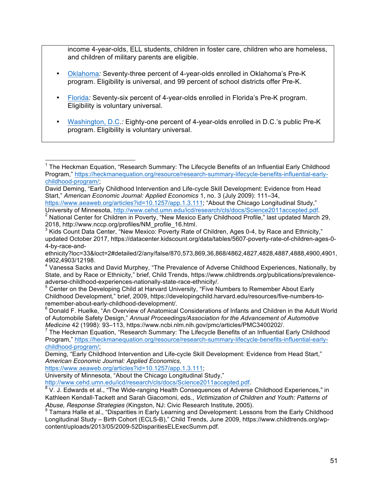income 4-year-olds, ELL students, children in foster care, children who are homeless, and children of military parents are eligible.

- Oklahoma*:* Seventy-three percent of 4-year-olds enrolled in Oklahoma's Pre-K program. Eligibility is universal, and 99 percent of school districts offer Pre-K.
- Florida*:* Seventy-six percent of 4-year-olds enrolled in Florida's Pre-K program. Eligibility is voluntary universal.
- Washington, D.C.*:* Eighty-one percent of 4-year-olds enrolled in D.C.'s public Pre-K program. Eligibility is voluntary universal.

 $1$  The Heckman Equation, "Research Summary: The Lifecycle Benefits of an Influential Early Childhood Program," https://heckmanequation.org/resource/research-summary-lifecycle-benefits-influential-earlychildhood-program/;

David Deming, "Early Childhood Intervention and Life-cycle Skill Development: Evidence from Head Start," *American Economic Journal: Applied Economics* 1, no. 3 (July 2009): 111–34,

https://www.aeaweb.org/articles?id=10.1257/app.1.3.111; "About the Chicago Longitudinal Study,"

University of Minnesota, http://www.cehd.umn.edu/icd/research/cls/docs/Science2011accepted.pdf.<br>
<sup>2</sup> National Center for Children in Poverty, "New Mexico Early Childhood Profile," last updated March 29,<br>
2018, http://www.n

 $^3$  Kids Count Data Center, "New Mexico: Poverty Rate of Children, Ages 0-4, by Race and Ethnicity," updated October 2017, https://datacenter.kidscount.org/data/tables/5607-poverty-rate-of-children-ages-0- 4-by-race-and-

ethnicity?loc=33&loct=2#detailed/2/any/false/870,573,869,36,868/4862,4827,4828,4887,4888,4900,4901, 4902,4903/12198.

<sup>4</sup> Vanessa Sacks and David Murphey, "The Prevalence of Adverse Childhood Experiences, Nationally, by State, and by Race or Ethnicity," brief, Child Trends, https://www.childtrends.org/publications/prevalenceadverse-childhood-experiences-nationally-state-race-ethnicity/.<br><sup>5</sup> Center on the Developing Child at Harvard University, "Five Numbers to Remember About Early

Childhood Development," brief, 2009, https://developingchild.harvard.edu/resources/five-numbers-to-

remember-about-early-childhood-development/.<br><sup>6</sup> Donald F. Huelke, "An Overview of Anatomical Considerations of Infants and Children in the Adult World of Automobile Safety Design," *Annual Proceedings/Association for the Advancement of Automotive* 

*Medicine* 42 (1998): 93–113, https://www.ncbi.nlm.nih.gov/pmc/articles/PMC3400202/.<br><sup>7</sup> The Heckman Equation, "Research Summary: The Lifecycle Benefits of an Influential Early Childhood Program," https://heckmanequation.org/resource/research-summary-lifecycle-benefits-influential-earlychildhood-program/;

Deming, "Early Childhood Intervention and Life-cycle Skill Development: Evidence from Head Start," *American Economic Journal: Applied Economics,*

https://www.aeaweb.org/articles?id=10.1257/app.1.3.111;

University of Minnesota, "About the Chicago Longitudinal Study,"

http://www.cehd.umn.edu/icd/research/cls/docs/Science2011accepted.pdf.<br><sup>8</sup> V. J. Edwards et al., "The Wide-ranging Health Consequences of Adverse Childhood Experiences," in Kathleen Kendall-Tackett and Sarah Giacomoni, eds., *Victimization of Children and Youth: Patterns of*  Abuse, Response Strategies (Kingston, NJ: Civic Research Institute, 2005).<br><sup>9</sup> Tamara Halle et al., "Disparities in Early Learning and Development: Lessons from the Early Childhood

Longitudinal Study – Birth Cohort (ECLS-B)," Child Trends, June 2009, https://www.childtrends.org/wpcontent/uploads/2013/05/2009-52DisparitiesELExecSumm.pdf.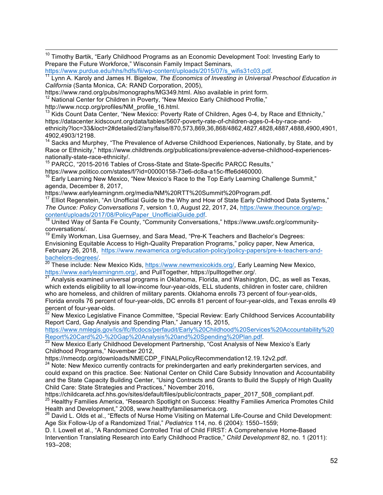<sup>10</sup> Timothy Bartik, "Early Childhood Programs as an Economic Development Tool: Investing Early to Prepare the Future Workforce," Wisconsin Family Impact Seminars,

https://www.purdue.edu/hhs/hdfs/fii/wp-content/uploads/2015/07/s\_wifis31c03.pdf.<br><sup>11</sup> Lynn A. Karoly and James H. Bigelow, *The Economics of Investing in Universal Preschool Education in California* (Santa Monica, CA: RAND Corporation, 2005),

 $12$  National Center for Children in Poverty, "New Mexico Early Childhood Profile,"

http://www.nccp.org/profiles/NM\_profile\_16.html.

 $13$  Kids Count Data Center, "New Mexico: Poverty Rate of Children, Ages 0-4, by Race and Ethnicity," https://datacenter.kidscount.org/data/tables/5607-poverty-rate-of-children-ages-0-4-by-race-andethnicity?loc=33&loct=2#detailed/2/any/false/870,573,869,36,868/4862,4827,4828,4887,4888,4900,4901, 4902,4903/12198.

 $14$  Sacks and Murphey, "The Prevalence of Adverse Childhood Experiences, Nationally, by State, and by Race or Ethnicity," https://www.childtrends.org/publications/prevalence-adverse-childhood-experiences-<br>nationally-state-race-ethnicity/.

<sup>15</sup> PARCC, "2015-2016 Tables of Cross-State and State-Specific PARCC Results,"

https://www.politico.com/states/f/?id=00000158-73e6-dc8a-a15c-fffe6d460000.

 $16$  Early Learning New Mexico, "New Mexico's Race to the Top Early Learning Challenge Summit," agenda, December 8, 2017,

https://www.earlylearningnm.org/media/NM%20RTT%20Summit%20Program.pdf.<br><sup>17</sup> Elliot Regenstein, "An Unofficial Guide to the Why and How of State Early Childhood Data Systems," *The Ounce: Policy Conversations 7, version 1.0, August 22, 2017, 24, https://www.theounce.org/wp-*<br>
content/uploads/2017/08/PolicyPaper\_UnofficialGuide.pdf.<br>
<sup>18</sup> United Way of Santa Fig. 26, we was

United Way of Santa Fe County, "Community Conversations," https://www.uwsfc.org/communityconversations/.

<sup>19</sup> Emily Workman, Lisa Guernsey, and Sara Mead, "Pre-K Teachers and Bachelor's Degrees: Envisioning Equitable Access to High-Quality Preparation Programs," policy paper, New America, February 26, 2018, https://www.newamerica.org/education-policy/policy-papers/pre-k-teachers-and-<br>bachelors-degrees/<br><sup>20</sup> These includes Nature Material and the set of the set of the set of the set of the set of the set of

<sup>20</sup> These include: New Mexico Kids, https://www.newmexicokids.org/, Early Learning New Mexico, https://www.earlylearningnm.org/, and PullTogether, https://pulltogether.org/.

Analysis examined universal programs in Oklahoma, Florida, and Washington, DC, as well as Texas, which extends eligibility to all low-income four-year-olds, ELL students, children in foster care, children who are homeless, and children of military parents. Oklahoma enrolls 73 percent of four-year-olds, Florida enrolls 76 percent of four-year-olds, DC enrolls 81 percent of four-year-olds, and Texas enrolls 49 percent of four-year-olds.

<sup>22</sup> New Mexico Legislative Finance Committee, "Special Review: Early Childhood Services Accountability Report Card, Gap Analysis and Spending Plan," January 15, 2015,

https://www.nmlegis.gov/lcs/lfc/lfcdocs/perfaudit/Early%20Childhood%20Services%20Accountability%20<br>Report%20Card%20-%20Gap%20Analysis%20and%20Spending%20Plan.pdf.

Report M20 Card M20 The Cap M20 and you can also provide the Unit of The Mexico's Early 23 New Mexico's Early Childhood Programs," November 2012,

https://nmecdp.org/downloads/NMECDP\_FINALPolicyRecommendation12.19.12v2.pdf.

<sup>24</sup> Note: New Mexico currently contracts for prekindergarten and early prekindergarten services, and could expand on this practice. See: National Center on Child Care Subsidy Innovation and Accountability and the State Capacity Building Center, "Using Contracts and Grants to Build the Supply of High Quality Child Care: State Strategies and Practices," November 2016,

https://childcareta.acf.hhs.gov/sites/default/files/public/contracts\_paper\_2017\_508\_compliant.pdf. <sup>25</sup> Healthy Families America, "Research Spotlight on Success: Healthy Families America Promotes Child Health and Development," 2008, www.healthyfamiliesamerica.org.

<sup>26</sup> David L. Olds et al., "Effects of Nurse Home Visiting on Maternal Life-Course and Child Development: Age Six Follow-Up of a Randomized Trial," *Pediatrics* 114, no. 6 (2004): 1550–1559;

D. I. Lowell et al., "A Randomized Controlled Trial of Child FIRST: A Comprehensive Home-Based Intervention Translating Research into Early Childhood Practice," *Child Development* 82, no. 1 (2011): 193–208;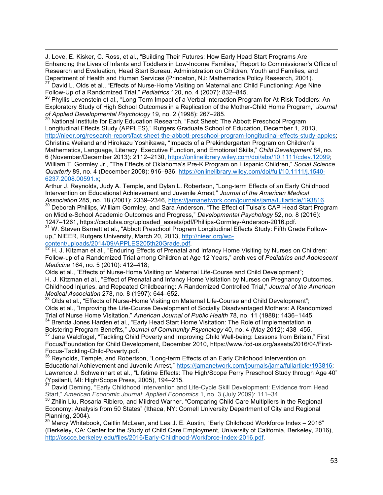J. Love, E. Kisker, C. Ross, et al., "Building Their Futures: How Early Head Start Programs Are Enhancing the Lives of Infants and Toddlers in Low-Income Families," Report to Commissioner's Office of Research and Evaluation, Head Start Bureau, Administration on Children, Youth and Families, and Department of Health and Human Services (Princeton, NJ: Mathematica Policy Research, 2001).<br><sup>27</sup> David L. Olds et al., "Effects of Nurse-Home Visiting on Maternal and Child Functioning: Age Nine Follow-Up of a Randomized Trial," *Pediatrics* 120, no. 4 (2007): 832–845.

 $\overline{a}$ 

<sup>28</sup> Phyllis Levenstein et al., "Long-Term Impact of a Verbal Interaction Program for At-Risk Toddlers: An Exploratory Study of High School Outcomes in a Replication of the Mother-Child Home Program," *Journal of Applied Developmental Psychology* 19, no. 2 (1998): 267–285.

<sup>29</sup> National Institute for Early Education Research, "Fact Sheet: The Abbott Preschool Program Longitudinal Effects Study (APPLES)," Rutgers Graduate School of Education, December 1, 2013, http://nieer.org/research-report/fact-sheet-the-abbott-preschool-program-longitudinal-effects-study-apples; Christina Weiland and Hirokazu Yoshikawa, "Impacts of a Prekindergarten Program on Children's Mathematics, Language, Literacy, Executive Function, and Emotional Skills," *Child Development* 84, no. 6 (November/December 2013): 2112–2130, https://onlinelibrary.wiley.com/doi/abs/10.1111/cdev.12099; William T. Gormley Jr., "The Effects of Oklahoma's Pre-K Program on Hispanic Children," *Social Science Quarterly* 89, no. 4 (December 2008): 916–936, https://onlinelibrary.wiley.com/doi/full/10.1111/j.1540- 6237.2008.00591.x;

Arthur J. Reynolds, Judy A. Temple, and Dylan L. Robertson, "Long-term Effects of an Early Childhood Intervention on Educational Achievement and Juvenile Arrest," *Journal of the American Medical* 

Association 285, no. 18 (2001): 2339–2346, https://jamanetwork.com/journals/jama/fullarticle/193816.<br><sup>30</sup> Deborah Phillips, William Gormley, and Sara Anderson, "The Effect of Tulsa's CAP Head Start Program on Middle-School Academic Outcomes and Progress," *Developmental Psychology* 52, no. 8 (2016):

<sup>31</sup> W. Steven Barnett et al., "Abbott Preschool Program Longitudinal Effects Study: Fifth Grade Followup," NIEER, Rutgers University, March 20, 2013, http://nieer.org/wp-

content/uploads/2014/09/APPLES205th20Grade.pdf.<br><sup>32</sup> H. J. Kitzman et al., "Enduring Effects of Prenatal and Infancy Home Visiting by Nurses on Children: Follow-up of a Randomized Trial among Children at Age 12 Years," archives of *Pediatrics and Adolescent Medicine* 164, no. 5 (2010): 412–418;

Olds et al., "Effects of Nurse-Home Visiting on Maternal Life-Course and Child Development"; H. J. Kitzman et al., "Effect of Prenatal and Infancy Home Visitation by Nurses on Pregnancy Outcomes, Childhood Injuries, and Repeated Childbearing: A Randomized Controlled Trial," *Journal of the American Medical Association* 278, no. 8 (1997): 644–652.

33 Olds et al., "Effects of Nurse-Home Visiting on Maternal Life-Course and Child Development"; Olds et al., "Improving the Life-Course Development of Socially Disadvantaged Mothers: A Randomized Trial of Nurse Home Visitation," *American Journal of Public Health* 78, no. 11 (1988): 1436–1445. <sup>34</sup> Brenda Jones Harden et al., "Early Head Start Home Visitation: The Role of Implementation in

Bolstering Program Benefits," *Journal of Community Psychology* 40, no. 4 (May 2012): 438–455. Jane Waldfogel, "Tackling Child Poverty and Improving Child Well-being: Lessons from Britain," First Focus/Foundation for Child Development, December 2010, https://www.fcd-us.org/assets/2016/04/First-

Focus-Tackling-Child-Poverty.pdf.<br><sup>36</sup> Reynolds, Temple, and Robertson, "Long-term Effects of an Early Childhood Intervention on Educational Achievement and Juvenile Arrest," https://jamanetwork.com/journals/jama/fullarticle/193816; Lawrence J. Schweinhart et al., "Lifetime Effects: The High/Scope Perry Preschool Study through Age 40" (Ypsilanti, MI: High/Scope Press, 2005), 194–215.

David Deming, "Early Childhood Intervention and Life-Cycle Skill Development: Evidence from Head Start," *American Economic Journal: Applied Economics* 1, no. 3 (July 2009): 111–34.<br><sup>38</sup> Zhilin Liu, Rosaria Ribiero, and Mildred Warner, "Comparing Child Care Multipliers in the Regional

Economy: Analysis from 50 States" (Ithaca, NY: Cornell University Department of City and Regional Planning, 2004).

<sup>39</sup> Marcy Whitebook, Caitlin McLean, and Lea J. E. Austin, "Early Childhood Workforce Index – 2016" (Berkeley, CA: Center for the Study of Child Care Employment, University of California, Berkeley, 2016), http://cscce.berkeley.edu/files/2016/Early-Childhood-Workforce-Index-2016.pdf.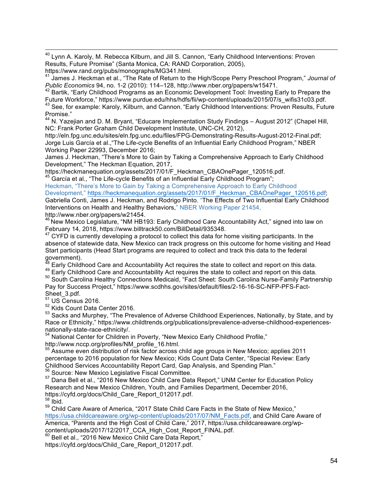<sup>40</sup> Lynn A. Karoly, M. Rebecca Kilburn, and Jill S. Cannon, "Early Childhood Interventions: Proven Results, Future Promise" (Santa Monica, CA: RAND Corporation, 2005),

<sup>41</sup> James J. Heckman et al., "The Rate of Return to the High/Scope Perry Preschool Program," *Journal of* 

*Public Economics 94, no. 1-2 (2010): 114–128, http://www.nber.org/papers/w15471.*<br><sup>42</sup> Bartik, "Early Childhood Programs as an Economic Development Tool: Investing Early to Prepare the<br>Future Workforce," https://www.purdu <sup>43</sup> See, for example: Karoly, Kilburn, and Cannon, "Early Childhood Interventions: Proven Results, Future Promise."

<sup>44</sup> N. Yazejian and D. M. Bryant, "Educare Implementation Study Findings - August 2012" (Chapel Hill, NC: Frank Porter Graham Child Development Institute, UNC-CH, 2012),

http://eln.fpg.unc.edu/sites/eln.fpg.unc.edu/files/FPG-Demonstrating-Results-August-2012-Final.pdf; Jorge Luis García et al.,"The Life-cycle Benefits of an Influential Early Childhood Program," NBER Working Paper 22993, December 2016;

James J. Heckman, "There's More to Gain by Taking a Comprehensive Approach to Early Childhood Development," The Heckman Equation, 2017,<br>https://heckmanequation.org/assets/2017/01/F\_Heckman\_CBAOnePager\_120516.pdf.

https://heckmanequation.org/assets/2017/01/Fechman Displemant of an Influential Early Childhood Program";

Heckman, "There's More to Gain by Taking a Comprehensive Approach to Early Childhood Development," https://heckmanequation.org/assets/2017/01/F\_Heckman\_CBAOnePager\_120516.pdf; Gabriella Conti, James J. Heckman, and Rodrigo Pinto, "The Effects of Two Influential Early Childhood Interventions on Health and Healthy Behaviors," NBER Working Paper 21454,

http://www.nber.org/papers/w21454.<br><sup>46</sup> New Mexico Legislature, "NM HB193: Early Childhood Care Accountability Act," signed into law on February 14, 2018, https://www.billtrack50.com/BillDetail/935348.

 $47$  CYFD is currently developing a protocol to collect this data for home visiting participants. In the absence of statewide data, New Mexico can track progress on this outcome for home visiting and Head Start participants (Head Start programs are required to collect and track this data to the federal government).<br><sup>48</sup> Early Childhood Care and Accountability Act requires the state to collect and report on this data.

<sup>48</sup> Early Childhood Care and Accountability Act requires the state to collect and report on this data. 49 Early Childhood Care and Accountability Act requires the state to collect and report on this data.

50 South Carolina Healthy Connections Medicaid, "Fact Sheet: South Carolina Nurse-Family Partnership Pay for Success Project," https://www.scdhhs.gov/sites/default/files/2-16-16-SC-NFP-PFS-Fact-Sheet\_3.pdf.

 $51$  US Census 2016.

<sup>52</sup> Kids Count Data Center 2016.

<sup>53</sup> Sacks and Murphey. "The Prevalence of Adverse Childhood Experiences, Nationally, by State, and by Race or Ethnicity," https://www.childtrends.org/publications/prevalence-adverse-childhood-experiences-

nationally-state-race-ethnicity/.<br><sup>54</sup> National Center for Children in Poverty, "New Mexico Early Childhood Profile," http://www.nccp.org/profiles/NM\_profile\_16.html.

<sup>55</sup> Assume even distribution of risk factor across child age groups in New Mexico; applies 2011 percentage to 2016 population for New Mexico; Kids Count Data Center, "Special Review: Early Childhood Services Accountability Report Card, Gap Analysis, and Spending Plan."<br><sup>56</sup> Source: New Mexico Legislative Fiscal Committee.

57 Dana Bell et al., "2016 New Mexico Child Care Data Report," UNM Center for Education Policy Research and New Mexico Children, Youth, and Families Department, December 2016, https://cyfd.org/docs/Child\_Care\_Report\_012017.pdf.

 $58$  Ibid.

<sup>59</sup> Child Care Aware of America, "2017 State Child Care Facts in the State of New Mexico," https://usa.childcareaware.org/wp-content/uploads/2017/07/NM\_Facts.pdf, and Child Care Aware of America, "Parents and the High Cost of Child Care," 2017, https://usa.childcareaware.org/wpcontent/uploads/2017/12/2017\_CCA\_High\_Cost\_Report\_FINAL.pdf.

Bell et al., "2016 New Mexico Child Care Data Report."

https://cyfd.org/docs/Child\_Care\_Report\_012017.pdf.

https://www.rand.org/pubs/monographs/MG341.html.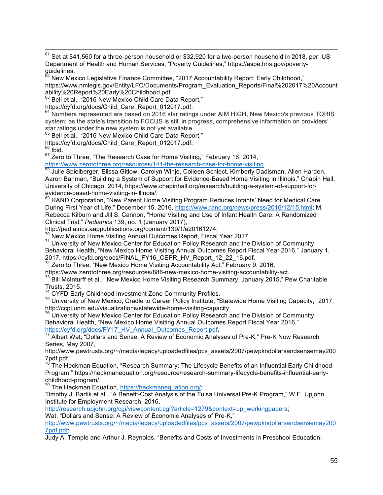$61$  Set at \$41,560 for a three-person household or \$32,920 for a two-person household in 2018, per: US Department of Health and Human Services, "Poverty Guidelines," https://aspe.hhs.gov/povertyguidelines.

<sup>62</sup> New Mexico Legislative Finance Committee, "2017 Accountability Report: Early Childhood," https://www.nmlegis.gov/Entity/LFC/Documents/Program\_Evaluation\_Reports/Final%202017%20Account ability%20Report%20Early%20Childhood.pdf.

<sup>63</sup> Bell et al., "2016 New Mexico Child Care Data Report,"

https://cyfd.org/docs/Child\_Care\_Report\_012017.pdf.

<sup>64</sup> Numbers represented are based on 2016 star ratings under AIM HIGH, New Mexico's previous TQRIS system; as the state's transition to FOCUS is still in progress, comprehensive information on providers' star ratings under the new system is not yet available.

Bell et al., "2016 New Mexico Child Care Data Report,"

https://cyfd.org/docs/Child\_Care\_Report\_012017.pdf.

 $66$  Ibid.

<sup>67</sup> Zero to Three, "The Research Case for Home Visiting," February 16, 2014,<br>https://www.zerotothree.org/resources/144-the-research-case-for-home-visiting.

68 Julie Spielberger, Elissa Gitlow, Carolyn Winje, Colleen Schlect, Kimberly Dadisman, Allen Harden, Aaron Banman, "Building a System of Support for Evidence-Based Home Visiting in Illinois," Chapin Hall, University of Chicago, 2014, https://www.chapinhall.org/research/building-a-system-of-support-forevidence-based-home-visiting-in-illinois/.

<sup>69</sup> RAND Corporation, "New Parent Home Visiting Program Reduces Infants' Need for Medical Care During First Year of Life," December 15, 2016, https://www.rand.org/news/press/2016/12/15.html; M. Rebecca Kilburn and Jill S. Cannon, "Home Visiting and Use of Infant Health Care: A Randomized Clinical Trial," *Pediatrics* 139, no. 1 (January 2017),

http://pediatrics.aappublications.org/content/139/1/e20161274.<br><sup>70</sup> New Mexico Home Visiting Annual Outcomes Report, Fiscal Year 2017.

<sup>71</sup> University of New Mexico Center for Education Policy Research and the Division of Community

Behavioral Health, "New Mexico Home Visiting Annual Outcomes Report Fiscal Year 2016," January 1, 2017, https://cyfd.org/docs/FINAL\_FY16\_CEPR\_HV\_Report\_12\_22\_16.pdf.<br><sup>72</sup> Zero to Three, "New Mexico Home Visiting Accountability Act," February 9, 2016,

https://www.zerotothree.org/resources/886-new-mexico-home-visiting-accountability-act.

<sup>73</sup> Bill McInturff et al., "New Mexico Home Visiting Research Summary, January 2015," Pew Charitable Trusts, 2015.<br><sup>74</sup> CYFD Early Childhood Investment Zone Community Profiles.

<sup>75</sup> University of New Mexico, Cradle to Career Policy Institute, "Statewide Home Visiting Capacity," 2017, http://ccpi.unm.edu/visualizations/statewide-home-visiting-capacity

 $16$  University of New Mexico Center for Education Policy Research and the Division of Community Behavioral Health, "New Mexico Home Visiting Annual Outcomes Report Fiscal Year 2016,"<br>https://cyfd.org/docs/FY17\_HV\_Annual\_Outcomes\_Report.pdf.<br>77 Albert Wet "Dallars and Outcomes"

Albert Wat, "Dollars and Sense: A Review of Economic Analyses of Pre-K," Pre-K Now Research Series, May 2007,

http://www.pewtrusts.org/~/media/legacy/uploadedfiles/pcs\_assets/2007/pewpkndollarsandsensemay200 7pdf.pdf.

78 The Heckman Equation, "Research Summary: The Lifecycle Benefits of an Influential Early Childhood Program," https://heckmanequation.org/resource/research-summary-lifecycle-benefits-influential-earlychildhood-program/.<br><sup>79</sup> The Heckman Equation, https://heckmanequation.org/;

Timothy J. Bartik et al., "A Benefit-Cost Analysis of the Tulsa Universal Pre-K Program," W.E. Upjohn Institute for Employment Research, 2016,

http://research.upjohn.org/cgi/viewcontent.cgi?article=1279&context=up\_workingpapers;

Wat, "Dollars and Sense: A Review of Economic Analyses of Pre-K,"

http://www.pewtrusts.org/~/media/legacy/uploadedfiles/pcs\_assets/2007/pewpkndollarsandsensemay200 7pdf.pdf;

Judy A. Temple and Arthur J. Reynolds, "Benefits and Costs of Investments in Preschool Education: